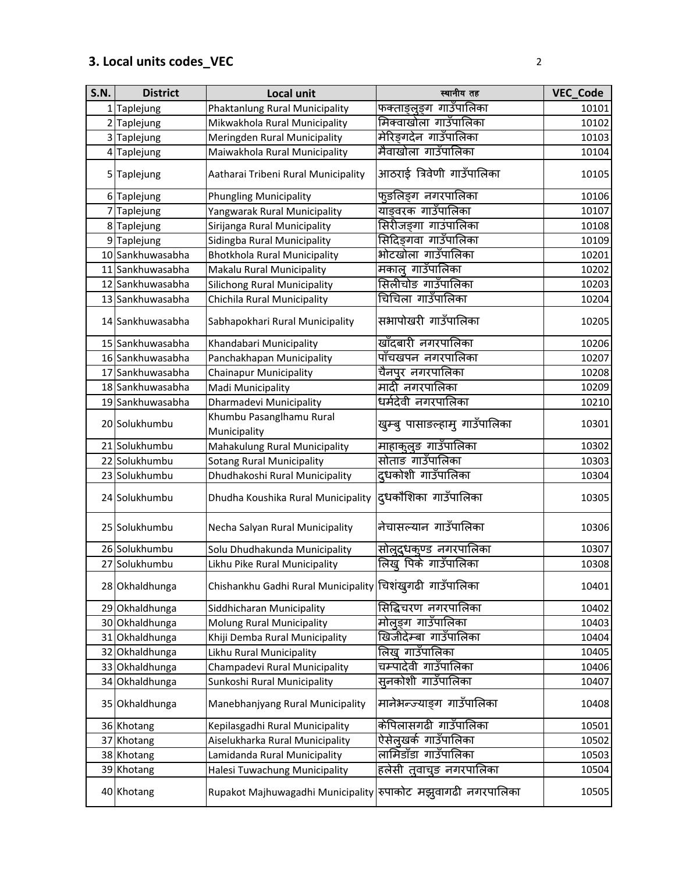## **3. Local units codes\_VEC** 2

| <b>S.N.</b> | <b>District</b>  | <b>Local unit</b>                                           | स्थानीय तह                    | VEC_Code |
|-------------|------------------|-------------------------------------------------------------|-------------------------------|----------|
|             | 1 Taplejung      | Phaktanlung Rural Municipality                              | फक्ताङ्लुङ्ग गाउँपालिका       | 10101    |
|             | 2 Taplejung      | Mikwakhola Rural Municipality                               | मिक्वाखोला गाउँपालिका         | 10102    |
|             | 3 Taplejung      | Meringden Rural Municipality                                | मेरिङ्गदेन गाउँपालिका         | 10103    |
|             | 4 Taplejung      | Maiwakhola Rural Municipality                               | मैवाखोला गाउँपालिका           | 10104    |
|             | 5 Taplejung      | Aatharai Tribeni Rural Municipality                         | आठराई त्रिवेणी गाउँपालिका     | 10105    |
|             | 6 Taplejung      | <b>Phungling Municipality</b>                               | फुङलिङ्ग नगरपालिका            | 10106    |
|             | 7 Taplejung      | Yangwarak Rural Municipality                                | याङवरक गाउँपालिका             | 10107    |
|             | 8 Taplejung      | Sirijanga Rural Municipality                                | सिरीजङ्गा गाउंपालिका          | 10108    |
|             | 9 Taplejung      | Sidingba Rural Municipality                                 | सिदिङ्गवा गाउँपालिका          | 10109    |
|             | 10 Sankhuwasabha | <b>Bhotkhola Rural Municipality</b>                         | भोटखोला गाउँपालिका            | 10201    |
|             | 11 Sankhuwasabha | Makalu Rural Municipality                                   | मकाल् गाउँपालिका              | 10202    |
|             | 12 Sankhuwasabha | <b>Silichong Rural Municipality</b>                         | सिलीचोङ गाउँपालिका            | 10203    |
|             | 13 Sankhuwasabha | Chichila Rural Municipality                                 | चिचिला गाउँपालिका             | 10204    |
|             | 14 Sankhuwasabha | Sabhapokhari Rural Municipality                             | सभापोखरी गाउँपालिका           | 10205    |
|             | 15 Sankhuwasabha | Khandabari Municipality                                     | खाँदबारी नगरपालिका            | 10206    |
|             | 16 Sankhuwasabha | Panchakhapan Municipality                                   | पाँचखपन नगरपालिका             | 10207    |
|             | 17 Sankhuwasabha | <b>Chainapur Municipality</b>                               | चैनपुर नगरपालिका              | 10208    |
|             | 18 Sankhuwasabha | Madi Municipality                                           | मादी नगरपालिका                | 10209    |
|             | 19 Sankhuwasabha | Dharmadevi Municipality                                     | धर्मदेवी नगरपालिका            | 10210    |
|             | 20 Solukhumbu    | Khumbu Pasanglhamu Rural<br>Municipality                    | खुम्बु पासाङल्हामु गाउँपालिका | 10301    |
|             | 21 Solukhumbu    | Mahakulung Rural Municipality                               | माहाकुलुङ गाउँपालिका          | 10302    |
|             | 22 Solukhumbu    | <b>Sotang Rural Municipality</b>                            | सोताङ गाउँपालिका              | 10303    |
|             | 23 Solukhumbu    | Dhudhakoshi Rural Municipality                              | द्धकोशी गाउँपालिका            | 10304    |
|             | 24 Solukhumbu    | Dhudha Koushika Rural Municipality                          | दुधकौशिका गाउँपालिका          | 10305    |
|             | 25 Solukhumbu    | Necha Salyan Rural Municipality                             | नेचासल्यान गाउँपालिका         | 10306    |
|             | 26 Solukhumbu    | Solu Dhudhakunda Municipality                               | सोल्दुधक्ज्ड नगरपालिका        | 10307    |
|             | 27 Solukhumbu    | Likhu Pike Rural Municipality                               | लिख् पिके गाउँपालिका          | 10308    |
|             | 28 Okhaldhunga   | Chishankhu Gadhi Rural Municipality स्चिशंखुगढी गाउँपालिका  |                               | 10401    |
|             | 29 Okhaldhunga   | Siddhicharan Municipality                                   | सिद्धिचरण नगरपालिका           | 10402    |
|             | 30 Okhaldhunga   | Molung Rural Municipality                                   | मोलङग गाउँपालिका              | 10403    |
|             | 31 Okhaldhunga   | Khiji Demba Rural Municipality                              | खिजीदेम्बा गाउँपालिका         | 10404    |
|             | 32 Okhaldhunga   | Likhu Rural Municipality                                    | लिख् गाउँपालिका               | 10405    |
|             | 33 Okhaldhunga   | Champadevi Rural Municipality                               | चम्पादेवी गाउँपालिका          | 10406    |
|             | 34 Okhaldhunga   | Sunkoshi Rural Municipality                                 | सुनकोशी गाउँपालिका            | 10407    |
|             | 35 Okhaldhunga   | Manebhanjyang Rural Municipality                            | मानेभन्ज्याङ्ग गाउँपालिका     | 10408    |
|             | 36 Khotang       | Kepilasgadhi Rural Municipality                             | केपिलासगढी गाउँपालिका         | 10501    |
|             | 37 Khotang       | Aiselukharka Rural Municipality                             | ऐसेलुखर्क गाउँपालिका          | 10502    |
|             | 38 Khotang       | Lamidanda Rural Municipality                                | लामिडाँडा गाउँपालिका          | 10503    |
|             | 39 Khotang       | Halesi Tuwachung Municipality                               | हलेसी त्वाचुङ नगरपालिका       | 10504    |
|             | 40 Khotang       | Rupakot Majhuwagadhi Municipality सपाकोट मझुवागढी नगरपालिका |                               | 10505    |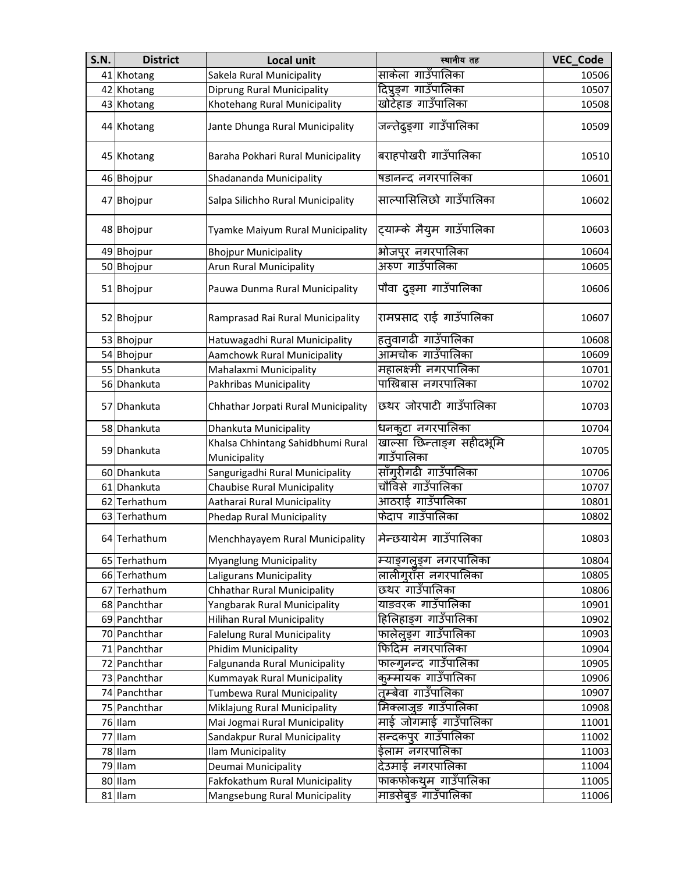| <b>S.N.</b> | <b>District</b> | Local unit                                        | स्थानीय तह                              | VEC_Code |
|-------------|-----------------|---------------------------------------------------|-----------------------------------------|----------|
|             | 41 Khotang      | Sakela Rural Municipality                         | साकेला गाउँपालिका                       | 10506    |
|             | 42 Khotang      | <b>Diprung Rural Municipality</b>                 | दिप्रङ्ग गाउँपालिका                     | 10507    |
|             | 43 Khotang      | Khotehang Rural Municipality                      | खोटेहाङ गाउँपालिका                      | 10508    |
|             | 44 Khotang      | Jante Dhunga Rural Municipality                   | जन्तेदुङ्गा गाउँपालिका                  | 10509    |
|             | 45 Khotang      | Baraha Pokhari Rural Municipality                 | बराहपोखरी गाउँपालिका                    | 10510    |
|             | 46 Bhojpur      | Shadananda Municipality                           | षडानन्द नगरपालिका                       | 10601    |
|             | 47 Bhojpur      | Salpa Silichho Rural Municipality                 | साल्पासिलिछो गाउँपालिका                 | 10602    |
|             | 48 Bhojpur      | Tyamke Maiyum Rural Municipality                  | ट्याम्के मैयुम गाउँपालिका               | 10603    |
|             | 49 Bhojpur      | <b>Bhojpur Municipality</b>                       | भोजपुर नगरपालिका                        | 10604    |
|             | 50 Bhojpur      | Arun Rural Municipality                           | अरुण गाउँपालिका                         | 10605    |
|             | 51 Bhojpur      | Pauwa Dunma Rural Municipality                    | पौवा दुङ्मा गाउँपालिका                  | 10606    |
|             | 52 Bhojpur      | Ramprasad Rai Rural Municipality                  | रामप्रसाद राई गाउँपालिका                | 10607    |
|             | 53 Bhojpur      | Hatuwagadhi Rural Municipality                    | हत्तूवागढी गाउँपालिका                   | 10608    |
|             | 54 Bhojpur      | Aamchowk Rural Municipality                       | आमचोक गाउँपालिका                        | 10609    |
|             | 55 Dhankuta     | Mahalaxmi Municipality                            | महालक्ष्मी नगरपालिका                    | 10701    |
|             | 56 Dhankuta     | Pakhribas Municipality                            | पाख्रिबास नगरपालिका                     | 10702    |
|             | 57 Dhankuta     | Chhathar Jorpati Rural Municipality               | छथर जोरपाटी गाउँपालिका                  | 10703    |
|             | 58 Dhankuta     | Dhankuta Municipality                             | धनकूटा नगरपालिका                        | 10704    |
|             | 59 Dhankuta     | Khalsa Chhintang Sahidbhumi Rural<br>Municipality | खाल्सा छिन्ताङ्ग सहीदभूमि<br>गाउँपालिका | 10705    |
|             | 60 Dhankuta     | Sangurigadhi Rural Municipality                   | साँग् <b>रीगढी गाउँपालि</b> का          | 10706    |
|             | 61 Dhankuta     | <b>Chaubise Rural Municipality</b>                | चौविसे गाउँपालिका                       | 10707    |
|             | 62 Terhathum    | Aatharai Rural Municipality                       | आठराई गाउँपालिका                        | 10801    |
|             | 63 Terhathum    | Phedap Rural Municipality                         | फेदाप गाउँपालिका                        | 10802    |
|             | 64 Terhathum    | Menchhayayem Rural Municipality                   | मेन्छयायेम गाउँपालिका                   | 10803    |
|             | 65 Terhathum    | <b>Myanglung Municipality</b>                     | म्याङ्गलङ्ग नगरपालिका                   | 10804    |
|             | 66 Terhathum    | Laligurans Municipality                           | लालीगराँस नगरपालिका                     | 10805    |
|             | 67 Terhathum    | <b>Chhathar Rural Municipality</b>                | छथर गाउँपालिका                          | 10806    |
|             | 68 Panchthar    | Yangbarak Rural Municipality                      | याङवरक गाउँपालिका                       | 10901    |
|             | 69 Panchthar    | <b>Hilihan Rural Municipality</b>                 | हिलिहाङ्ग गाउँपालिका                    | 10902    |
|             | 70 Panchthar    | <b>Falelung Rural Municipality</b>                | फालेलूङ्ग गाउँपालिका                    | 10903    |
|             | 71 Panchthar    | <b>Phidim Municipality</b>                        | फिदिम नगरपालिका                         | 10904    |
|             | 72 Panchthar    | Falgunanda Rural Municipality                     | फाल्गुनन्द गाउँपालिका                   | 10905    |
|             | 73 Panchthar    | Kummayak Rural Municipality                       | कुम्मायक गाउँपालिका                     | 10906    |
|             | 74 Panchthar    | Tumbewa Rural Municipality                        | तुम्बेवा गाउँपालिका                     | 10907    |
|             | 75 Panchthar    | Miklajung Rural Municipality                      | मिक्लाजुङ गाउँपालिका                    | 10908    |
|             | 76 Ilam         | Mai Jogmai Rural Municipality                     | माई जोगमाई गाउँपालिका                   | 11001    |
|             | 77 Ilam         | Sandakpur Rural Municipality                      | सन्दकपूर गाउँपालिका                     | 11002    |
|             | 78 Ilam         | Ilam Municipality                                 | ईलाम नगरपालिका                          | 11003    |
|             | 79 Ilam         | Deumai Municipality                               | देउमाई नगरपालिका                        | 11004    |
|             | 80 Ilam         | Fakfokathum Rural Municipality                    | फाकफोकथुम गाउँपालिका                    | 11005    |
|             | 81 Ilam         | Mangsebung Rural Municipality                     | माङसेबुङ गाउँपालिका                     | 11006    |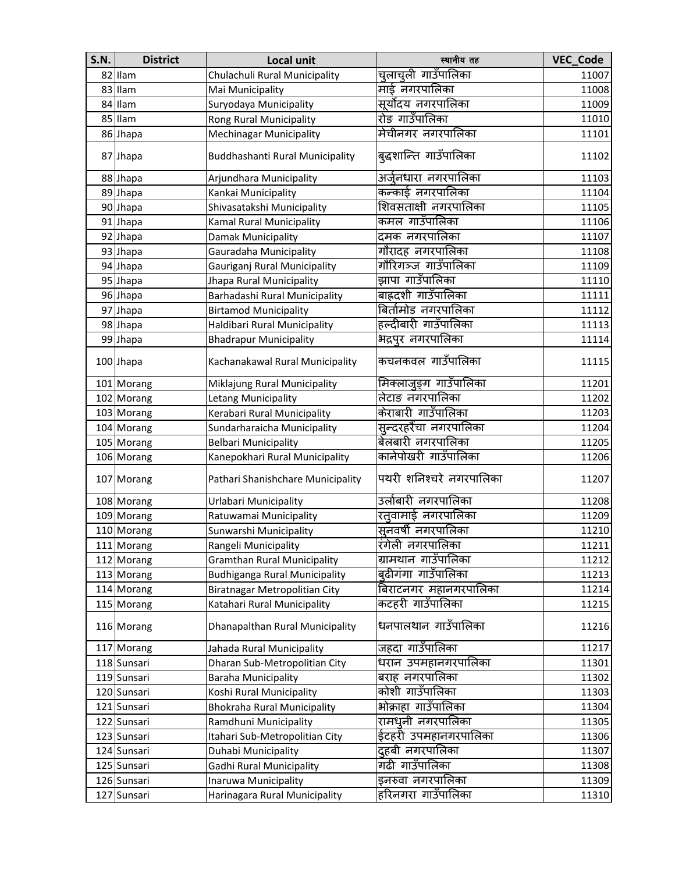| <b>S.N.</b> | <b>District</b> | <b>Local unit</b>                    | स्थानीय तह              | <b>VEC Code</b> |
|-------------|-----------------|--------------------------------------|-------------------------|-----------------|
|             | 82 Ilam         | Chulachuli Rural Municipality        | चुलाचुली गाउँपालिका     | 11007           |
|             | 83 Ilam         | Mai Municipality                     | माई नगरपालिका           | 11008           |
|             | 84 Ilam         | Suryodaya Municipality               | सूर्योदय नगरपालिका      | 11009           |
|             | 85 Ilam         | Rong Rural Municipality              | रोङ गाउँपालिका          | 11010           |
|             | 86 Jhapa        | <b>Mechinagar Municipality</b>       | मेचीनगर नगरपालिका       | 11101           |
|             | 87 Jhapa        | Buddhashanti Rural Municipality      | बुद्धशान्ति गाउँपालिका  | 11102           |
|             | 88 Jhapa        | Arjundhara Municipality              | अर्जुनधारा नगरपालिका    | 11103           |
|             | 89 Jhapa        | Kankai Municipality                  | कन्काई नगरपालिका        | 11104           |
|             | 90 Jhapa        | Shivasatakshi Municipality           | शिवसताक्षी नगरपालिका    | 11105           |
|             | 91 Jhapa        | Kamal Rural Municipality             | कमल गाउँपालिका          | 11106           |
|             | 92 Jhapa        | Damak Municipality                   | दमक नगरपालिका           | 11107           |
|             | 93 Jhapa        | Gauradaha Municipality               | गौरादह नगरपालिका        | 11108           |
|             | 94 Jhapa        | Gauriganj Rural Municipality         | गौरिगञ्ज गाउँपालिका     | 11109           |
|             | 95 Jhapa        | Jhapa Rural Municipality             | झापा गाउँपालिका         | 11110           |
|             | 96 Jhapa        | Barhadashi Rural Municipality        | बाह्रदशी गाउँपालिका     | 11111           |
|             | 97 Jhapa        | <b>Birtamod Municipality</b>         | बिर्तामोड नगरपालिका     | 11112           |
|             | 98 Jhapa        | Haldibari Rural Municipality         | हल्दीबारी गाउँपालिका    | 11113           |
|             | 99 Jhapa        | <b>Bhadrapur Municipality</b>        | भद्रपुर नगरपालिका       | 11114           |
|             | 100 Jhapa       | Kachanakawal Rural Municipality      | कचनकवल गाउँपालिका       | 11115           |
|             | 101 Morang      | Miklajung Rural Municipality         | मिक्लाजुङ्ग गाउँपालिका  | 11201           |
|             | 102 Morang      | Letang Municipality                  | लेटाङ नगरपालिका         | 11202           |
|             | 103 Morang      | Kerabari Rural Municipality          | केराबारी गाउँपालिका     | 11203           |
|             | 104 Morang      | Sundarharaicha Municipality          | सुन्दरहरैंचा नगरपालिका  | 11204           |
|             | 105 Morang      | <b>Belbari Municipality</b>          | बेलबारी नगरपालिका       | 11205           |
|             | 106 Morang      | Kanepokhari Rural Municipality       | कानेपोखरी गाउँपालिका    | 11206           |
|             | 107 Morang      | Pathari Shanishchare Municipality    | पथरी शनिश्चरे नगरपालिका | 11207           |
|             | 108 Morang      | Urlabari Municipality                | उर्लाबारी नगरपालिका     | 11208           |
|             | 109 Morang      | Ratuwamai Municipality               | रत्तवामाई नगरपालिका     | 11209           |
|             | 110 Morang      | Sunwarshi Municipality               | सुनवर्षी नगरपालिका      | 11210           |
|             | 111 Morang      | Rangeli Municipality                 | रंगेली नगरपालिका        | 11211           |
|             | 112 Morang      | <b>Gramthan Rural Municipality</b>   | ग्रामथान गाउँपालिका     | 11212           |
|             | 113 Morang      | <b>Budhiganga Rural Municipality</b> | बुढीगंगा गाउँपालिका     | 11213           |
|             | 114 Morang      | Biratnagar Metropolitian City        | बिराटनगर महानगरपालिका   | 11214           |
|             | 115 Morang      | Katahari Rural Municipality          | कटहरी गाउँपालिका        | 11215           |
|             | 116 Morang      | Dhanapalthan Rural Municipality      | धनपालथान गाउँपालिका     | 11216           |
|             | 117 Morang      | Jahada Rural Municipality            | जहदा गाउँपालिका         | 11217           |
|             | 118 Sunsari     | Dharan Sub-Metropolitian City        | धरान उपमहानगरपालिका     | 11301           |
|             | 119 Sunsari     | <b>Baraha Municipality</b>           | बराह नगरपालिका          | 11302           |
|             | 120 Sunsari     | Koshi Rural Municipality             | कोशी गाउँपालिका         | 11303           |
|             | 121 Sunsari     | <b>Bhokraha Rural Municipality</b>   | भोक्राहा गाउँपालिका     | 11304           |
|             | 122 Sunsari     | Ramdhuni Municipality                | रामधुनी नगरपालिका       | 11305           |
|             | 123 Sunsari     | Itahari Sub-Metropolitian City       | ईटहरी उपमहानगरपालिका    | 11306           |
|             | 124 Sunsari     | Duhabi Municipality                  | दहबी नगरपालिका          | 11307           |
|             | 125 Sunsari     | Gadhi Rural Municipality             | गढी गाउँपालिका          | 11308           |
|             | 126 Sunsari     | Inaruwa Municipality                 | इनरुवा नगरपालिका        | 11309           |
|             | 127 Sunsari     | Harinagara Rural Municipality        | हरिनगरा गाउँपालिका      | 11310           |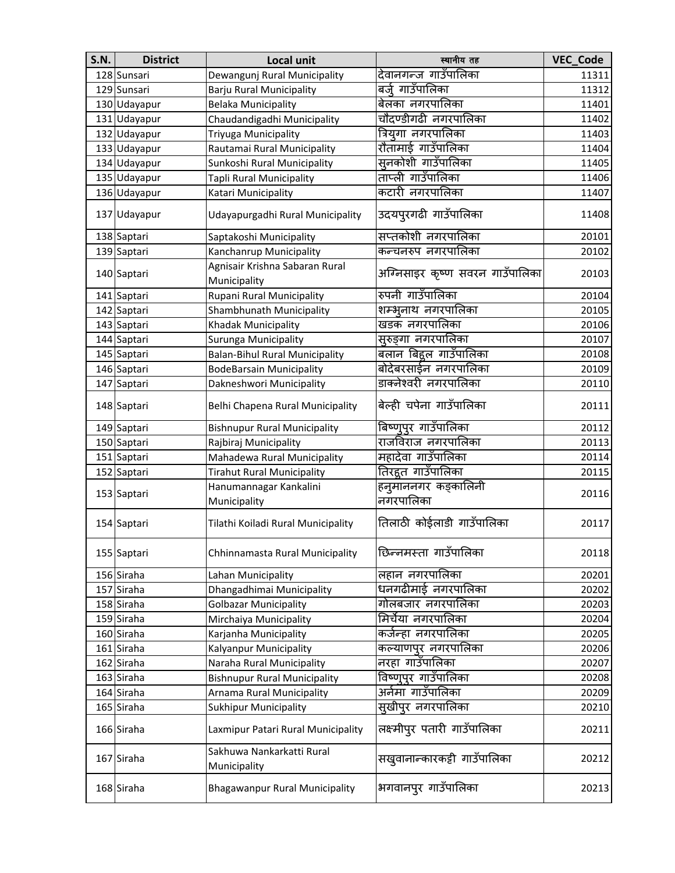| <b>S.N.</b> | <b>District</b> | <b>Local unit</b>                              | स्थानीय तह                      | VEC_Code |
|-------------|-----------------|------------------------------------------------|---------------------------------|----------|
|             | 128 Sunsari     | Dewangunj Rural Municipality                   | देवानगन्ज गाउँपालिका            | 11311    |
|             | 129 Sunsari     | Barju Rural Municipality                       | बर्जु गाउँपालिका                | 11312    |
|             | 130 Udayapur    | <b>Belaka Municipality</b>                     | बेलका नगरपालिका                 | 11401    |
|             | 131 Udayapur    | Chaudandigadhi Municipality                    | चौदण्डीगढी नगरपालिका            | 11402    |
|             | 132 Udayapur    | Triyuga Municipality                           | त्रियुगा नगरपालिका              | 11403    |
|             | 133 Udayapur    | Rautamai Rural Municipality                    | रौतामाई गाउँपालिका              | 11404    |
|             | 134 Udayapur    | Sunkoshi Rural Municipality                    | सुनकोशी गाउँपालिका              | 11405    |
|             | 135 Udayapur    | <b>Tapli Rural Municipality</b>                | ताप्ली गाउँपालिका               | 11406    |
|             | 136 Udayapur    | Katari Municipality                            | कटारी नगरपालिका                 | 11407    |
|             | 137 Udayapur    | Udayapurgadhi Rural Municipality               | उदयपुरगढी गाउँपालिका            | 11408    |
|             | 138 Saptari     | Saptakoshi Municipality                        | .<br>सप्तकोशी नगरपालिका         | 20101    |
|             | 139 Saptari     | Kanchanrup Municipality                        | कन्चनरुप नगरपालिका              | 20102    |
|             | 140 Saptari     | Agnisair Krishna Sabaran Rural<br>Municipality | अग्निसाइर कृष्ण सवरन गाउँपालिका | 20103    |
|             | 141 Saptari     | Rupani Rural Municipality                      | रुपनी गाउँपालिका                | 20104    |
|             | 142 Saptari     | Shambhunath Municipality                       | शम्भूनाथ नगरपालिका              | 20105    |
|             | 143 Saptari     | Khadak Municipality                            | खडक नगरपालिका                   | 20106    |
|             | 144 Saptari     | Surunga Municipality                           | सुरुङ्गा नगरपालिका              | 20107    |
|             | 145 Saptari     | <b>Balan-Bihul Rural Municipality</b>          | बलान बिद्दल गाउँपालिका          | 20108    |
|             | 146 Saptari     | <b>BodeBarsain Municipality</b>                | बोदेबरसाईन नगरपालिका            | 20109    |
|             | 147 Saptari     | Dakneshwori Municipality                       | डाक्नेश्वरी नगरपालिका           | 20110    |
|             | 148 Saptari     | Belhi Chapena Rural Municipality               | बेल्ही चपेना गाउँपालिका         | 20111    |
|             | 149 Saptari     | <b>Bishnupur Rural Municipality</b>            | बिष्णूपुर गाउँपालिका            | 20112    |
|             | 150 Saptari     | Rajbiraj Municipality                          | राजविराज नगरपालिका              | 20113    |
|             | 151 Saptari     | Mahadewa Rural Municipality                    | महादेवा गाउँपालिका              | 20114    |
|             | 152 Saptari     | <b>Tirahut Rural Municipality</b>              | तिरहूत गाउँपालिका               | 20115    |
|             | 153 Saptari     | Hanumannagar Kankalini                         | हनुमाननगर कङ्कालिनी             | 20116    |
|             |                 | Municipality                                   | नगरपालिका                       |          |
|             | 154 Saptari     | Tilathi Koiladi Rural Municipality             | तिलाठी कोईलाडी गाउँपालिका       | 20117    |
|             | 155 Saptari     | Chhinnamasta Rural Municipality                | छिन्नमस्ता गाउँपालिका           | 20118    |
|             | 156 Siraha      | Lahan Municipality                             | लहान नगरपालिका                  | 20201    |
|             | 157 Siraha      | Dhangadhimai Municipality                      | धनगढीमाई नगरपालिका              | 20202    |
|             | 158 Siraha      | <b>Golbazar Municipality</b>                   | गोलबजार नगरपालिका               | 20203    |
|             | 159 Siraha      | Mirchaiya Municipality                         | मिर्चेया नगरपालिका              | 20204    |
|             | 160 Siraha      | Karjanha Municipality                          | कर्जन्हा नगरपालिका              | 20205    |
|             | 161 Siraha      | Kalyanpur Municipality                         | कल्याणपुर नगरपालिका             | 20206    |
|             | 162 Siraha      | Naraha Rural Municipality                      | नरहा गाउँपालिका                 | 20207    |
|             | 163 Siraha      | <b>Bishnupur Rural Municipality</b>            | विष्णूपुर गाउँपालिका            | 20208    |
|             | 164 Siraha      | Arnama Rural Municipality                      | अर्नमा गाउँपालिका               | 20209    |
|             | 165 Siraha      | <b>Sukhipur Municipality</b>                   | सुखीपुर नगरपालिका               | 20210    |
|             | 166 Siraha      | Laxmipur Patari Rural Municipality             | लक्ष्मीपुर पतारी गाउँपालिका     | 20211    |
|             | 167 Siraha      | Sakhuwa Nankarkatti Rural<br>Municipality      | सखुवानान्कारकट्टी गाउँपालिका    | 20212    |
|             | 168 Siraha      | <b>Bhagawanpur Rural Municipality</b>          | भगवानपुर गाउँपालिका             | 20213    |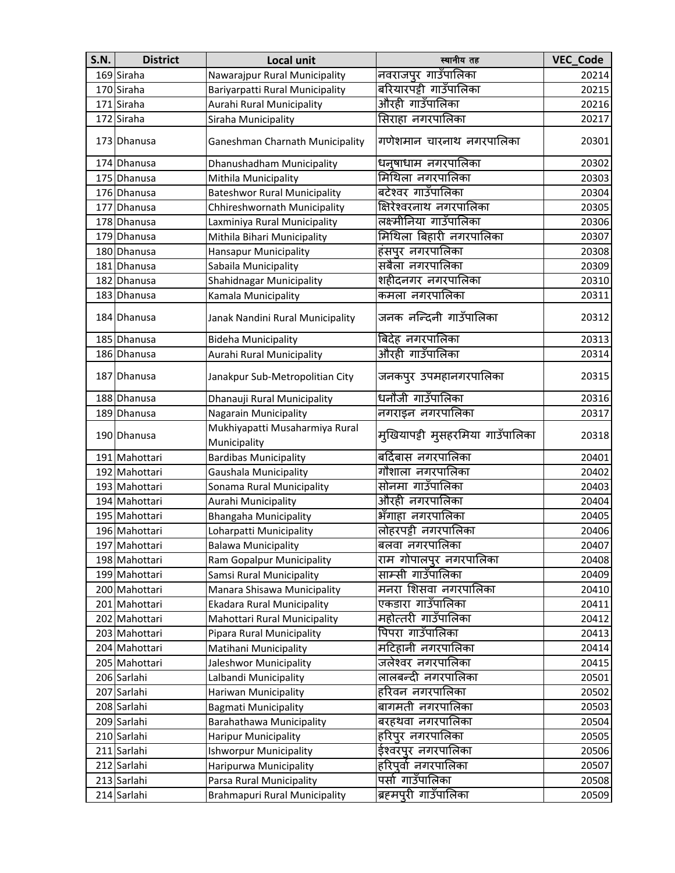| <b>S.N.</b> | <b>District</b> | Local unit                                     | स्थानीय तह                       | VEC_Code |
|-------------|-----------------|------------------------------------------------|----------------------------------|----------|
|             | 169 Siraha      | Nawarajpur Rural Municipality                  | नवराजपुर गाउँपालिका              | 20214    |
|             | 170 Siraha      | Bariyarpatti Rural Municipality                | बरियारपट्टी गाउँपालिका           | 20215    |
|             | 171 Siraha      | Aurahi Rural Municipality                      | औरही गाउँपालिका                  | 20216    |
|             | 172 Siraha      | Siraha Municipality                            | सिराहा नगरपालिका                 | 20217    |
|             | 173 Dhanusa     | Ganeshman Charnath Municipality                | गणेशमान चारनाथ नगरपालिका         | 20301    |
|             | 174 Dhanusa     | Dhanushadham Municipality                      | धनुषाधाम नगरपालिका               | 20302    |
|             | 175 Dhanusa     | Mithila Municipality                           | मिथिला नगरपालिका                 | 20303    |
|             | 176 Dhanusa     | <b>Bateshwor Rural Municipality</b>            | बटेश्वर गाउँपालिका               | 20304    |
|             | 177 Dhanusa     | Chhireshwornath Municipality                   | क्षिरेश्वरनाथ नगरपालिका          | 20305    |
|             | 178 Dhanusa     | Laxminiya Rural Municipality                   | लक्ष्मीनिया गाउँपालिका           | 20306    |
|             | 179 Dhanusa     | Mithila Bihari Municipality                    | मिथिला बिहारी नगरपालिका          | 20307    |
|             | 180 Dhanusa     | Hansapur Municipality                          | हंसपुर नगरपालिका                 | 20308    |
|             | 181 Dhanusa     | Sabaila Municipality                           | सबैला नगरपालिका                  | 20309    |
|             | 182 Dhanusa     | Shahidnagar Municipality                       | शहीदनगर नगरपालिका                | 20310    |
|             | 183 Dhanusa     | Kamala Municipality                            | कमला नगरपालिका                   | 20311    |
|             | 184 Dhanusa     | Janak Nandini Rural Municipality               | जनक नन्दिनी गाउँपालिका           | 20312    |
|             | 185 Dhanusa     | <b>Bideha Municipality</b>                     | बिदेह नगरपालिका                  | 20313    |
|             | 186 Dhanusa     | Aurahi Rural Municipality                      | औरही गाउँपालिका                  | 20314    |
|             | 187 Dhanusa     | Janakpur Sub-Metropolitian City                | जनकपुर उपमहानगरपालिका            | 20315    |
|             | 188 Dhanusa     | Dhanauji Rural Municipality                    | धनौजी गाउँपालिका                 | 20316    |
|             | 189 Dhanusa     | Nagarain Municipality                          | नगराइन नगरपालिका                 | 20317    |
|             | 190 Dhanusa     | Mukhiyapatti Musaharmiya Rural<br>Municipality | मुखियापट्टी मुसहरमिया गाउँपालिका | 20318    |
|             | 191 Mahottari   | <b>Bardibas Municipality</b>                   | बर्दिबास नगरपालिका               | 20401    |
|             | 192 Mahottari   | Gaushala Municipality                          | गौशाला नगरपालिका                 | 20402    |
|             | 193 Mahottari   | Sonama Rural Municipality                      | सोनमा गाउँपालिका                 | 20403    |
|             | 194 Mahottari   | Aurahi Municipality                            | औरही नगरपालिका                   | 20404    |
|             | 195 Mahottari   | <b>Bhangaha Municipality</b>                   | भँगाहा नगरपालिका                 | 20405    |
|             | 196 Mahottari   | Loharpatti Municipality                        | लोहरपट्टी नगरपालिका              | 20406    |
|             | 197 Mahottari   | <b>Balawa Municipality</b>                     | बलवा नगरपालिका                   | 20407    |
|             | 198 Mahottari   | <b>Ram Gopalpur Municipality</b>               | राम गोपालपुर नगरपालिका           | 20408    |
|             | 199 Mahottari   | Samsi Rural Municipality                       | साम्सी गाउँपालिका                | 20409    |
|             | 200 Mahottari   | Manara Shisawa Municipality                    | मनरा शिसवा नगरपालिका             | 20410    |
|             | 201 Mahottari   | Ekadara Rural Municipality                     | एकडारा गाउँपालिका                | 20411    |
|             | 202 Mahottari   | Mahottari Rural Municipality                   | महोत्तरी गाउँपालिका              | 20412    |
|             | 203 Mahottari   | Pipara Rural Municipality                      | पिपरा गाउँपालिका                 | 20413    |
|             | 204 Mahottari   | Matihani Municipality                          | मटिहानी नगरपालिका                | 20414    |
|             | 205 Mahottari   | Jaleshwor Municipality                         | जलेश्वर नगरपालिका                | 20415    |
|             | 206 Sarlahi     | Lalbandi Municipality                          | लालबन्दी नगरपालिका               | 20501    |
|             | 207 Sarlahi     | Hariwan Municipality                           | हरिवन नगरपालिका                  | 20502    |
|             | 208 Sarlahi     | <b>Bagmati Municipality</b>                    | बागमती नगरपालिका                 | 20503    |
|             | 209 Sarlahi     | Barahathawa Municipality                       | बरहथवा नगरपालिका                 | 20504    |
|             | 210 Sarlahi     | <b>Haripur Municipality</b>                    | हरिपुर नगरपालिका                 | 20505    |
|             | 211 Sarlahi     | <b>Ishworpur Municipality</b>                  | ईश्वरपुर नगरपालिका               | 20506    |
|             | 212 Sarlahi     | Haripurwa Municipality                         | हरिपूर्वा नगरपालिका              | 20507    |
|             | 213 Sarlahi     | Parsa Rural Municipality                       | पर्सा गाउँपालिका                 | 20508    |
|             | 214 Sarlahi     | <b>Brahmapuri Rural Municipality</b>           | ब्रहमपुरी गाउँपालिका             | 20509    |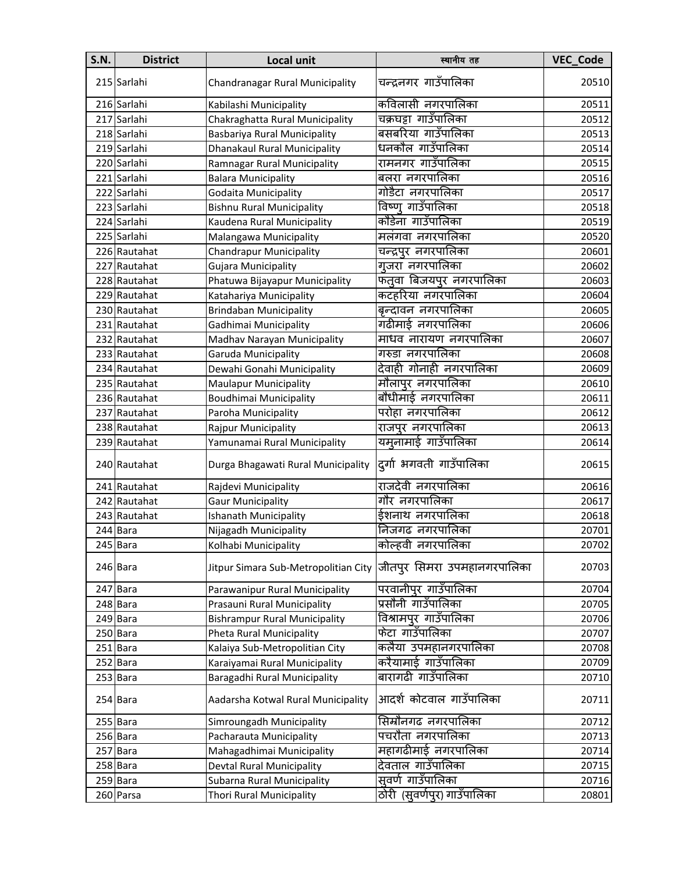| <b>S.N.</b> | <b>District</b> | <b>Local unit</b>                    | स्थानीय तह                  | VEC_Code |
|-------------|-----------------|--------------------------------------|-----------------------------|----------|
|             | 215 Sarlahi     | Chandranagar Rural Municipality      | चन्द्रनगर गाउँपालिका        | 20510    |
|             | 216 Sarlahi     | Kabilashi Municipality               | कविलासी नगरपालिका           | 20511    |
|             | 217 Sarlahi     | Chakraghatta Rural Municipality      | चक्रघट्टा गाउँपालिका        | 20512    |
|             | 218 Sarlahi     | Basbariya Rural Municipality         | बसबरिया गाउँपालिका          | 20513    |
|             | 219 Sarlahi     | Dhanakaul Rural Municipality         | धनकौल गाउँपालिका            | 20514    |
|             | 220 Sarlahi     | Ramnagar Rural Municipality          | रामनगर गाउँपालिका           | 20515    |
|             | 221 Sarlahi     | <b>Balara Municipality</b>           | बलरा नगरपालिका              | 20516    |
|             | 222 Sarlahi     | Godaita Municipality                 | गोडैटा नगरपालिका            | 20517    |
|             | 223 Sarlahi     | <b>Bishnu Rural Municipality</b>     | विष्णू गाउँपालिका           | 20518    |
|             | 224 Sarlahi     | Kaudena Rural Municipality           | कौडेना गाउँपालिका           | 20519    |
|             | 225 Sarlahi     | Malangawa Municipality               | मलंगवा नगरपालिका            | 20520    |
|             | 226 Rautahat    | <b>Chandrapur Municipality</b>       | चन्द्रपुर नगरपालिका         | 20601    |
|             | 227 Rautahat    | Gujara Municipality                  | गुजरा नगरपालिका             | 20602    |
|             | 228 Rautahat    | Phatuwa Bijayapur Municipality       | फतवा बिजयपुर नगरपालिका      | 20603    |
|             | 229 Rautahat    | Katahariya Municipality              | कटहरिया नगरपालिका           | 20604    |
|             | 230 Rautahat    | <b>Brindaban Municipality</b>        | बन्दावन नगरपालिका           | 20605    |
|             |                 |                                      | गढीमाई नगरपालिका            | 20606    |
|             | 231 Rautahat    | Gadhimai Municipality                | माधव नारायण नगरपालिका       |          |
|             | 232 Rautahat    | Madhav Narayan Municipality          | गरुडा नगरपालिका             | 20607    |
|             | 233 Rautahat    | Garuda Municipality                  |                             | 20608    |
|             | 234 Rautahat    | Dewahi Gonahi Municipality           | देवाही गोनाही नगरपालिका     | 20609    |
|             | 235 Rautahat    | <b>Maulapur Municipality</b>         | मौलापुर नगरपालिका           | 20610    |
|             | 236 Rautahat    | <b>Boudhimai Municipality</b>        | बौधीमाई नगरपालिका           | 20611    |
|             | 237 Rautahat    | Paroha Municipality                  | परोहा नगरपालिका             | 20612    |
|             | 238 Rautahat    | Rajpur Municipality                  | राजपुर नगरपालिका            | 20613    |
|             | 239 Rautahat    | Yamunamai Rural Municipality         | यमूनामाई गाउँपालिका         | 20614    |
|             | 240 Rautahat    | Durga Bhagawati Rural Municipality   | दुर्गा भगवती गाउँपालिका     | 20615    |
|             | 241 Rautahat    | Rajdevi Municipality                 | राजदेवी नगरपालिका           | 20616    |
|             | 242 Rautahat    | <b>Gaur Municipality</b>             | गौर नगरपालिका               | 20617    |
|             | 243 Rautahat    | Ishanath Municipality                | ईशनाथ नगरपालिका             | 20618    |
|             | 244 Bara        | Nijagadh Municipality                | निजगढ नगरपालिका             | 20701    |
|             | 245 Bara        | Kolhabi Municipality                 | कोल्हवी नगरपालिका           | 20702    |
|             | 246 Bara        | Jitpur Simara Sub-Metropolitian City | जीतपुर सिमरा उपमहानगरपालिका | 20703    |
|             | 247 Bara        | Parawanipur Rural Municipality       | परवानीपुर गाउँपालिका        | 20704    |
|             | 248 Bara        | Prasauni Rural Municipality          | प्रसौनी गाउँपालिका          | 20705    |
|             | 249 Bara        | <b>Bishrampur Rural Municipality</b> | विश्रामपुर गाउँपालिका       | 20706    |
|             | 250 Bara        | Pheta Rural Municipality             | फेटा गाउँपालिका             | 20707    |
|             | 251 Bara        | Kalaiya Sub-Metropolitian City       | कलैया उपमहानगरपालिका        | 20708    |
|             | 252 Bara        | Karaiyamai Rural Municipality        | करैयामाई गाउँपालिका         | 20709    |
| 253         | <b>Bara</b>     | Baragadhi Rural Municipality         | बारागढी गाउँपालिका          | 20710    |
|             | 254 Bara        | Aadarsha Kotwal Rural Municipality   | आदर्श कोटवाल गाउँपालिका     | 20711    |
|             | 255 Bara        | Simroungadh Municipality             | सिम्रौनगढ नगरपालिका         | 20712    |
|             | 256 Bara        | Pacharauta Municipality              | पचरौता नगरपालिका            | 20713    |
|             | 257 Bara        | Mahagadhimai Municipality            | महागढीमाई नगरपालिका         | 20714    |
|             | 258 Bara        | Devtal Rural Municipality            | देवताल गाउँपालिका           | 20715    |
|             | 259 Bara        | Subarna Rural Municipality           | सूवर्ण गाउँपालिका           | 20716    |
|             | 260 Parsa       | Thori Rural Municipality             | ठोरी (सुवर्णपुर) गाउँपालिका | 20801    |
|             |                 |                                      |                             |          |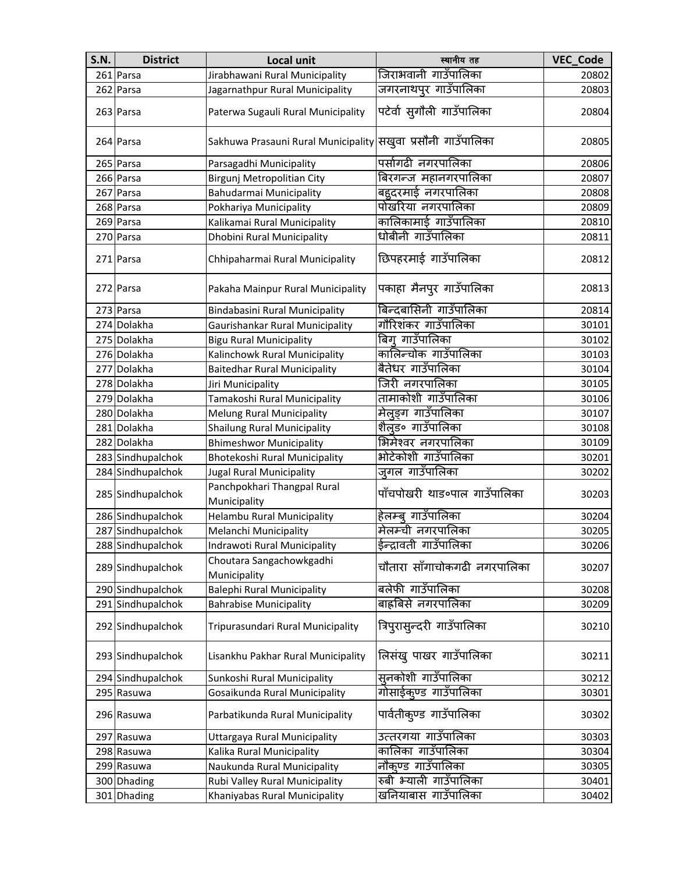| <b>S.N.</b> | <b>District</b>   | <b>Local unit</b>                                             | स्थानीय तह                                 | <b>VEC_Code</b> |
|-------------|-------------------|---------------------------------------------------------------|--------------------------------------------|-----------------|
|             | 261 Parsa         | Jirabhawani Rural Municipality                                | जिराभवानी गाउँपालिका                       | 20802           |
|             | 262 Parsa         | Jagarnathpur Rural Municipality                               | जगरनाथपूर गाउँपालिका                       | 20803           |
|             | 263 Parsa         | Paterwa Sugauli Rural Municipality                            | पटेर्वा सुगौली गाउँपालिका                  | 20804           |
|             | 264 Parsa         | Sakhuwa Prasauni Rural Municipality सिख्वा प्रसौनी गाउँपालिका |                                            | 20805           |
|             | 265 Parsa         | Parsagadhi Municipality                                       | पर्सागढी नगरपालिका                         | 20806           |
|             | 266 Parsa         | Birgunj Metropolitian City                                    | बिरगन्ज महानगरपालिका                       | 20807           |
|             | 267 Parsa         | Bahudarmai Municipality                                       | बहुदरमाई नगरपालिका                         | 20808           |
|             | 268 Parsa         | Pokhariya Municipality                                        | पोखरिया नगरपालिका                          | 20809           |
|             | 269 Parsa         | Kalikamai Rural Municipality                                  | कालिकामाई गाउँपालिका                       | 20810           |
|             | 270 Parsa         | Dhobini Rural Municipality                                    | धोबीनी गाउँपालिका                          | 20811           |
|             | 271 Parsa         | Chhipaharmai Rural Municipality                               | छिपहरमाई गाउँपालिका                        | 20812           |
|             | 272 Parsa         | Pakaha Mainpur Rural Municipality                             | पकाहा मैनपुर गाउँपालिका                    | 20813           |
|             | 273 Parsa         | Bindabasini Rural Municipality                                | बिन्दबासिनी गाउँपालिका                     | 20814           |
|             | 274 Dolakha       | Gaurishankar Rural Municipality                               | गौरिशंकर गाउँपालिका                        | 30101           |
|             | 275 Dolakha       | <b>Bigu Rural Municipality</b>                                | बिग् गाउँपालिका                            | 30102           |
|             | 276 Dolakha       | Kalinchowk Rural Municipality                                 | कालिन्चोक गाउँपालिका                       | 30103           |
|             | 277 Dolakha       | <b>Baitedhar Rural Municipality</b>                           | बैतेधर गाउँपालिका                          | 30104           |
|             | 278 Dolakha       | Jiri Municipality                                             | जिरी नगरपालिका                             | 30105           |
|             | 279 Dolakha       | Tamakoshi Rural Municipality                                  | तामाकोशी गाउँपालिका                        | 30106           |
|             | 280 Dolakha       | <b>Melung Rural Municipality</b>                              | मेलूङ्ग गाउँपालिका                         | 30107           |
|             | 281 Dolakha       | <b>Shailung Rural Municipality</b>                            | शैलूड० गाउँपालिका                          | 30108           |
|             | 282 Dolakha       | <b>Bhimeshwor Municipality</b>                                | भिमेश्वर नगरपालिका                         | 30109           |
|             | 283 Sindhupalchok | Bhotekoshi Rural Municipality                                 | भोटेकोशी गाउँपालिका                        | 30201           |
|             | 284 Sindhupalchok | <b>Jugal Rural Municipality</b>                               | जुगल गाउँपालिका                            | 30202           |
|             | 285 Sindhupalchok | Panchpokhari Thangpal Rural<br>Municipality                   | पाँचपोखरी थाड०पाल गाउँपालिक <mark>ा</mark> | 30203           |
|             | 286 Sindhupalchok | Helambu Rural Municipality                                    | हेलम्ब् गाउँपालिका                         | 30204           |
|             | 287 Sindhupalchok | Melanchi Municipality                                         | मेलम्ची नगरपालिका                          | 30205           |
|             | 288 Sindhupalchok | Indrawoti Rural Municipality                                  | ᆠ<br>ईन्द्रावती गाउँपालिका                 | 30206           |
|             | 289 Sindhupalchok | Choutara Sangachowkgadhi<br>Municipality                      | चौतारा साँगाचोकगढी नगरपालिका               | 30207           |
|             | 290 Sindhupalchok | <b>Balephi Rural Municipality</b>                             | बलेफी गाउँपालिका                           | 30208           |
|             | 291 Sindhupalchok | <b>Bahrabise Municipality</b>                                 | बाह्रबिसे नगरपालिका                        | 30209           |
|             | 292 Sindhupalchok | Tripurasundari Rural Municipality                             | त्रिपुरासुन्दरी गाउँपालिका                 | 30210           |
|             | 293 Sindhupalchok | Lisankhu Pakhar Rural Municipality                            | लिसंख् पाखर गाउँपालिका                     | 30211           |
|             | 294 Sindhupalchok | Sunkoshi Rural Municipality                                   | सुनकोशी गाउँपालिका                         | 30212           |
|             | 295 Rasuwa        | Gosaikunda Rural Municipality                                 | गोसाईकूण्ड गाउँपालिका                      | 30301           |
|             | 296 Rasuwa        | Parbatikunda Rural Municipality                               | पार्वतीकुण्ड गाउँपालिका                    | 30302           |
|             | 297 Rasuwa        | Uttargaya Rural Municipality                                  | उत्तरगया गाउँपालिका                        | 30303           |
|             | 298 Rasuwa        | Kalika Rural Municipality                                     | कालिका गाउँपालिका                          | 30304           |
|             | 299 Rasuwa        | Naukunda Rural Municipality                                   | नौकुण्ड गाउँपालिका                         | 30305           |
|             | 300 Dhading       | Rubi Valley Rural Municipality                                | रुबी भ्याली गाउँपालिका                     | 30401           |
|             | 301 Dhading       | Khaniyabas Rural Municipality                                 | खनियाबास गाउँपालिका                        | 30402           |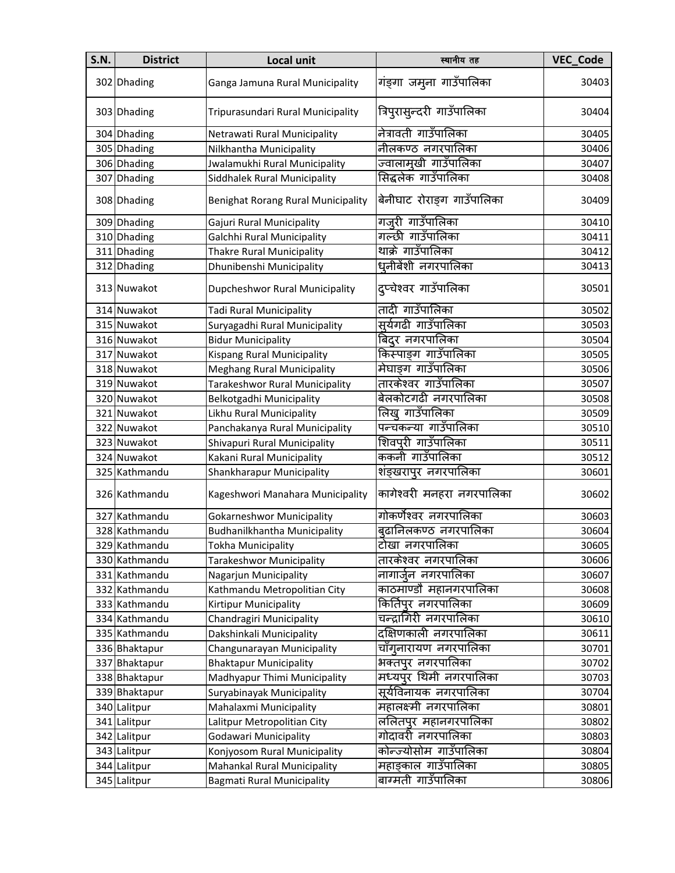| <b>S.N.</b> | <b>District</b> | Local unit                                | स्थानीय तह                 | VEC_Code |
|-------------|-----------------|-------------------------------------------|----------------------------|----------|
|             | 302 Dhading     | Ganga Jamuna Rural Municipality           | गंङ्गा जमुना गाउँपालिका    | 30403    |
|             | 303 Dhading     | Tripurasundari Rural Municipality         | त्रिपुरासुन्दरी गाउँपालिका | 30404    |
|             | 304 Dhading     | Netrawati Rural Municipality              | नेत्रावती गाउँपालिका       | 30405    |
|             | 305 Dhading     | Nilkhantha Municipality                   | नीलकण्ठ नगरपालिका          | 30406    |
|             | 306 Dhading     | Jwalamukhi Rural Municipality             | ज्वालामुखी गाउँपालिका      | 30407    |
|             | 307 Dhading     | Siddhalek Rural Municipality              | सिद्धलेक गाउँपालिका        | 30408    |
|             | 308 Dhading     | <b>Benighat Rorang Rural Municipality</b> | बेनीघाट रोराङ्ग गाउँपालिका | 30409    |
|             | 309 Dhading     | Gajuri Rural Municipality                 | गज़री गाउँपालिका           | 30410    |
|             | 310 Dhading     | Galchhi Rural Municipality                | गल्छी गाउँपालिका           | 30411    |
|             | 311 Dhading     | <b>Thakre Rural Municipality</b>          | थाक्रे गाउँपालिका          | 30412    |
|             | 312 Dhading     | Dhunibenshi Municipality                  | धृनीबेंशी नगरपालिका        | 30413    |
|             | 313 Nuwakot     | Dupcheshwor Rural Municipality            | दुप्चेश्वर गाउँपालिका      | 30501    |
|             | 314 Nuwakot     | Tadi Rural Municipality                   | तादी गाउँपालिका            | 30502    |
|             | 315 Nuwakot     | Suryagadhi Rural Municipality             | सूर्यगढी गाउँपालिका        | 30503    |
|             | 316 Nuwakot     | <b>Bidur Municipality</b>                 | बिदर नगरपालिका             | 30504    |
|             | 317 Nuwakot     | <b>Kispang Rural Municipality</b>         | किस्पाङग गाउँपालिका        | 30505    |
|             | 318 Nuwakot     | <b>Meghang Rural Municipality</b>         | मेघाङग गाउँपालिका          | 30506    |
|             | 319 Nuwakot     | Tarakeshwor Rural Municipality            | तारकेश्वर गाउँपालिका       | 30507    |
|             | 320 Nuwakot     | Belkotgadhi Municipality                  | बेलकोटगढी नगरपालिका        | 30508    |
|             | 321 Nuwakot     | Likhu Rural Municipality                  | लिख् गाउँपालिका            | 30509    |
|             | 322 Nuwakot     | Panchakanya Rural Municipality            | पन्चकन्या गाउँपालिका       | 30510    |
|             | 323 Nuwakot     | Shivapuri Rural Municipality              | शिवपुरी गाउँपालिका         | 30511    |
|             | 324 Nuwakot     | Kakani Rural Municipality                 | ककनी गाउँपालिका            | 30512    |
|             | 325 Kathmandu   | Shankharapur Municipality                 | शंङ्खरापुर नगरपालिका       | 30601    |
|             | 326 Kathmandu   | Kageshwori Manahara Municipality          | कागेश्वरी मनहरा नगरपालिका  | 30602    |
|             | 327 Kathmandu   | <b>Gokarneshwor Municipality</b>          | गोकर्णेश्वर नगरपालिका      | 30603    |
|             | 328 Kathmandu   | Budhanilkhantha Municipality              | बढानिलकण्ठ नगरपालिका       | 30604    |
|             | 329 Kathmandu   | <b>Tokha Municipality</b>                 | टोखा नगरपालिका             | 30605    |
|             | 330 Kathmandu   | <b>Tarakeshwor Municipality</b>           | तारकेश्वर नगरपालिका        | 30606    |
|             | 331 Kathmandu   | Nagarjun Municipality                     | नागार्जन नगरपालिका         | 30607    |
|             | 332 Kathmandu   | Kathmandu Metropolitian City              | काठमाण्डौ महानगरपालिका     | 30608    |
|             | 333 Kathmandu   | <b>Kirtipur Municipality</b>              | किर्तिपुर नगरपालिका        | 30609    |
|             | 334 Kathmandu   | Chandragiri Municipality                  | चन्द्रागिरी नगरपालिका      | 30610    |
|             | 335 Kathmandu   | Dakshinkali Municipality                  | दक्षिणकाली नगरपालिका       | 30611    |
|             | 336 Bhaktapur   | Changunarayan Municipality                | चाँगूनारायण नगरपालिका      | 30701    |
|             | 337 Bhaktapur   | <b>Bhaktapur Municipality</b>             | भक्तपुर नगरपालिका          | 30702    |
|             | 338 Bhaktapur   | Madhyapur Thimi Municipality              | मध्यपुर थिमी नगरपालिका     | 30703    |
|             | 339 Bhaktapur   | Suryabinayak Municipality                 | सूर्यविनायक नगरपालिका      | 30704    |
|             | 340 Lalitpur    | Mahalaxmi Municipality                    | महालक्ष्मी नगरपालिका       | 30801    |
|             | 341 Lalitpur    | Lalitpur Metropolitian City               | ललितपुर महानगरपालिका       | 30802    |
|             | 342 Lalitpur    | <b>Godawari Municipality</b>              | गोदावरी नगरपालिका          | 30803    |
|             | 343 Lalitpur    | Konjyosom Rural Municipality              | कोन्ज्योसोम गाउँपालिका     | 30804    |
| 344         | Lalitpur        | <b>Mahankal Rural Municipality</b>        | महाङकाल गाउँपालिका         | 30805    |
|             | 345 Lalitpur    | <b>Bagmati Rural Municipality</b>         | बाग्मती गाउँपालिका         | 30806    |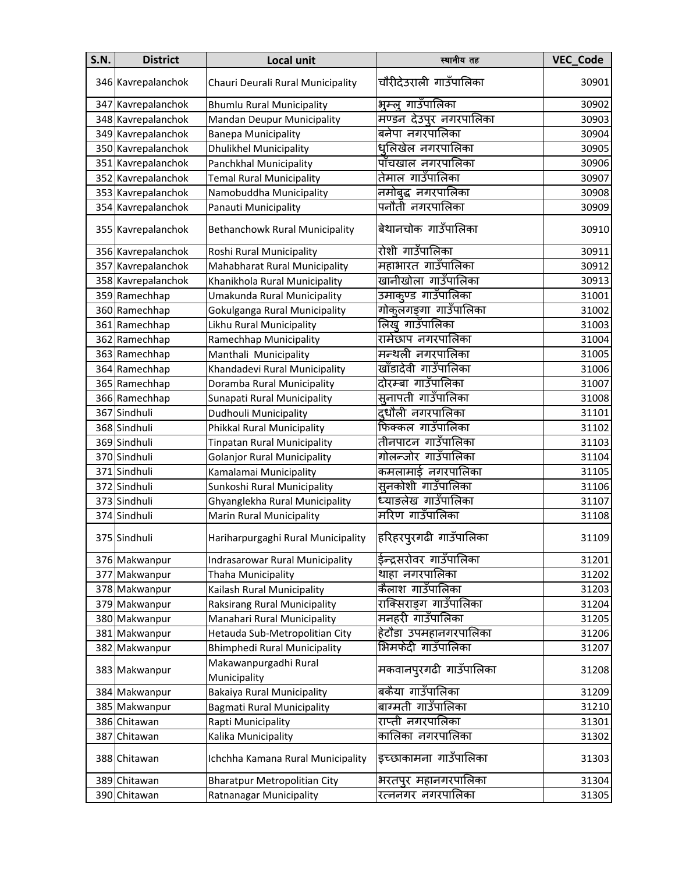| <b>S.N.</b> | <b>District</b>    | <b>Local unit</b>                     | स्थानीय तह             | VEC_Code |
|-------------|--------------------|---------------------------------------|------------------------|----------|
|             | 346 Kavrepalanchok | Chauri Deurali Rural Municipality     | चौरीदेउराली गाउँपालिका | 30901    |
|             | 347 Kavrepalanchok | <b>Bhumlu Rural Municipality</b>      | भूम्ल् गाउँपालिका      | 30902    |
|             | 348 Kavrepalanchok | Mandan Deupur Municipality            | मण्डन देउपुर नगरपालिका | 30903    |
|             | 349 Kavrepalanchok | <b>Banepa Municipality</b>            | बनेपा नगरपालिका        | 30904    |
|             | 350 Kavrepalanchok | <b>Dhulikhel Municipality</b>         | धनिखेल नगरपालिका       | 30905    |
|             | 351 Kavrepalanchok | Panchkhal Municipality                | पाँचखाल नगरपालिका      | 30906    |
|             | 352 Kavrepalanchok | <b>Temal Rural Municipality</b>       | तेमाल गाउँपालिका       | 30907    |
|             | 353 Kavrepalanchok | Namobuddha Municipality               | नमोबुद्ध नगरपालिका     | 30908    |
|             | 354 Kavrepalanchok | Panauti Municipality                  | पनौती नगरपालिका        | 30909    |
|             | 355 Kavrepalanchok | <b>Bethanchowk Rural Municipality</b> | बेथानचोक गाउँपालिका    | 30910    |
|             | 356 Kavrepalanchok | Roshi Rural Municipality              | रोशी गाउँपालिका        | 30911    |
|             | 357 Kavrepalanchok | Mahabharat Rural Municipality         | महाभारत गाउँपालिका     | 30912    |
|             | 358 Kavrepalanchok | Khanikhola Rural Municipality         | खानीखोला गाउँपालिका    | 30913    |
|             | 359 Ramechhap      | Umakunda Rural Municipality           | उमाकूण्ड गाउँपालिका    | 31001    |
|             | 360 Ramechhap      | Gokulganga Rural Municipality         | गोकुलगङ्गा गाउँपालिका  | 31002    |
|             | 361 Ramechhap      | Likhu Rural Municipality              | लिख् गाउँपालिका        | 31003    |
|             | 362 Ramechhap      | Ramechhap Municipality                | रामेछाप नगरपालिका      | 31004    |
|             | 363 Ramechhap      | Manthali Municipality                 | मन्थली नगरपालिका       | 31005    |
|             | 364 Ramechhap      | Khandadevi Rural Municipality         | खाँडादेवी गाउँपालिका   | 31006    |
|             | 365 Ramechhap      | Doramba Rural Municipality            | दोरम्बा गाउँपालिका     | 31007    |
|             | 366 Ramechhap      | Sunapati Rural Municipality           | सुनापती गाउँपालिका     | 31008    |
|             | 367 Sindhuli       | Dudhouli Municipality                 | दधौली नगरपालिका        | 31101    |
|             | 368 Sindhuli       | Phikkal Rural Municipality            | फिक्कल गाउँपालिका      | 31102    |
|             | 369 Sindhuli       | <b>Tinpatan Rural Municipality</b>    | तीनपाटन गाउँपालिका     | 31103    |
|             | 370 Sindhuli       | <b>Golanjor Rural Municipality</b>    | गोलन्जोर गाउँपालिका    | 31104    |
|             | 371 Sindhuli       | Kamalamai Municipality                | कमलामाई नगरपालिका      | 31105    |
|             | 372 Sindhuli       | Sunkoshi Rural Municipality           | सुनकोशी गाउँपालिका     | 31106    |
|             | 373 Sindhuli       | Ghyanglekha Rural Municipality        | ध्याङलेख गाउँपालिका    | 31107    |
|             | 374 Sindhuli       | Marin Rural Municipality              | मरिण गाउँपालिका        | 31108    |
|             | 375 Sindhuli       | Hariharpurgaghi Rural Municipality    | हरिहरपुरगढी गाउँपालिका | 31109    |
|             | 376 Makwanpur      | Indrasarowar Rural Municipality       | ईन्द्रसरोवर गाउँपालिका | 31201    |
|             | 377 Makwanpur      | Thaha Municipality                    | थाहा नगरपालिका         | 31202    |
|             | 378 Makwanpur      | Kailash Rural Municipality            | कैलाश गाउँपालिका       | 31203    |
|             | 379 Makwanpur      | Raksirang Rural Municipality          | राक्सिराङ्ग गाउँपालिका | 31204    |
|             | 380 Makwanpur      | Manahari Rural Municipality           | मनहरी गाउँपालिका       | 31205    |
|             | 381 Makwanpur      | Hetauda Sub-Metropolitian City        | हेटौडा उपमहानगरपालिका  | 31206    |
|             | 382 Makwanpur      | <b>Bhimphedi Rural Municipality</b>   | भिमफेदी गाउँपालिका     | 31207    |
|             | 383 Makwanpur      | Makawanpurgadhi Rural<br>Municipality | मकवानपुरगढी गाउँपालिका | 31208    |
|             | 384 Makwanpur      | <b>Bakaiya Rural Municipality</b>     | बकैया गाउँपालिका       | 31209    |
|             | 385 Makwanpur      | <b>Bagmati Rural Municipality</b>     | बाग्मती गाउँपालिका     | 31210    |
|             | 386 Chitawan       | Rapti Municipality                    | राप्ती नगरपालिका       | 31301    |
| 387         | Chitawan           | Kalika Municipality                   | कालिका नगरपालिका       | 31302    |
|             | 388 Chitawan       | Ichchha Kamana Rural Municipality     | इच्छाकामना गाउँपालिका  | 31303    |
|             | 389 Chitawan       | <b>Bharatpur Metropolitian City</b>   | भरतपुर महानगरपालिका    | 31304    |
|             | 390 Chitawan       | Ratnanagar Municipality               | रत्ननगर नगरपालिका      | 31305    |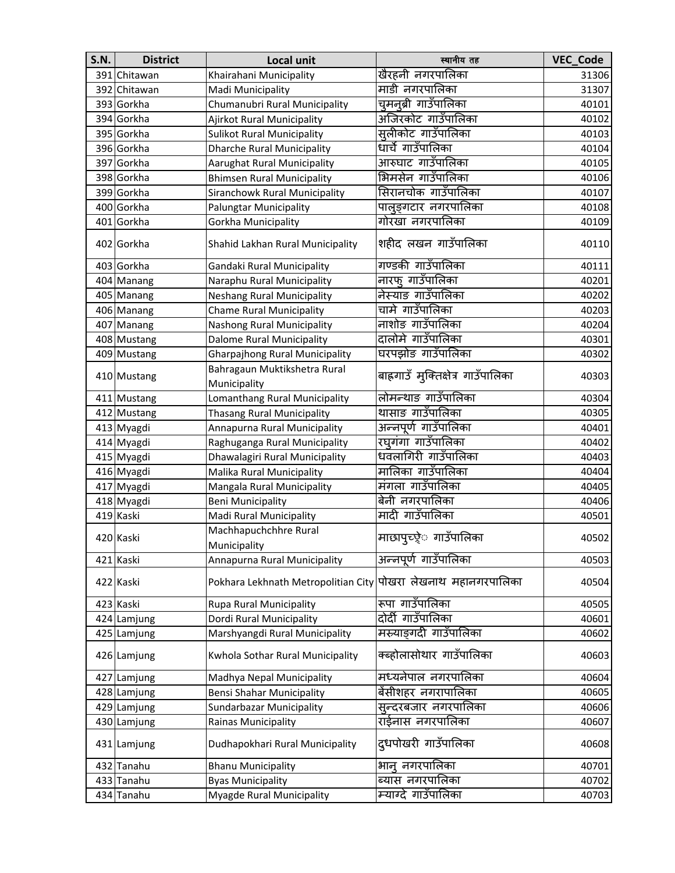| <b>S.N.</b> | <b>District</b> | <b>Local unit</b>                            | स्थानीय तह                         | <b>VEC Code</b> |
|-------------|-----------------|----------------------------------------------|------------------------------------|-----------------|
| 391         | Chitawan        | Khairahani Municipality                      | खैरहनी नगरपालिका                   | 31306           |
|             | 392 Chitawan    | Madi Municipality                            | माडी नगरपालिका                     | 31307           |
|             | 393 Gorkha      | Chumanubri Rural Municipality                | चुमनूब्री गाउँपालिका               | 40101           |
|             | 394 Gorkha      | Ajirkot Rural Municipality                   | अजिरकोट गाउँपालिका                 | 40102           |
|             | 395 Gorkha      | <b>Sulikot Rural Municipality</b>            | सुलीकोट गाउँपालिका                 | 40103           |
|             | 396 Gorkha      | <b>Dharche Rural Municipality</b>            | धार्चे गाउँपालिका                  | 40104           |
|             | 397 Gorkha      | Aarughat Rural Municipality                  | आरुघाट गाउँपालिका                  | 40105           |
|             | 398 Gorkha      | <b>Bhimsen Rural Municipality</b>            | भिमसेन गाउँपालिका                  | 40106           |
|             | 399 Gorkha      | Siranchowk Rural Municipality                | सिरानचोक गाउँपालिका                | 40107           |
|             | 400 Gorkha      | <b>Palungtar Municipality</b>                | पालुङ्गटार नगरपालिका               | 40108           |
|             | 401 Gorkha      | Gorkha Municipality                          | गोरखा नगरपालिका                    | 40109           |
|             | 402 Gorkha      | Shahid Lakhan Rural Municipality             | शहीद लखन गाउँपालिका                | 40110           |
|             | 403 Gorkha      | Gandaki Rural Municipality                   | गण्डकी गाउँपालिका                  | 40111           |
|             | 404 Manang      | Naraphu Rural Municipality                   | नारफ् गाउँपालिका                   | 40201           |
|             | 405 Manang      | <b>Neshang Rural Municipality</b>            | नेस्याङ गाउँपालिका                 | 40202           |
|             | 406 Manang      | <b>Chame Rural Municipality</b>              | चामे गाउँपालिका                    | 40203           |
|             | 407 Manang      | Nashong Rural Municipality                   | नाशोङ गाउँपालिका                   | 40204           |
|             | 408 Mustang     | Dalome Rural Municipality                    | दालोमे गाउँपालिका                  | 40301           |
|             | 409 Mustang     | <b>Gharpajhong Rural Municipality</b>        | घरपझोङ गाउँपालिका                  | 40302           |
|             | 410 Mustang     | Bahragaun Muktikshetra Rural<br>Municipality | बाह्रगाउँ मुक्तिक्षेत्र गाउँपालिका | 40303           |
|             | 411 Mustang     | Lomanthang Rural Municipality                | लोमन्थाङ गाउँपालिका                | 40304           |
|             | 412 Mustang     | <b>Thasang Rural Municipality</b>            | थासाङ गाउँपालिका                   | 40305           |
|             | 413 Myagdi      | Annapurna Rural Municipality                 | अन्नपूर्ण गाउँपालिका               | 40401           |
|             | 414 Myagdi      | Raghuganga Rural Municipality                | रघुगंगा गाउँपालिका                 | 40402           |
|             | 415 Myagdi      | Dhawalagiri Rural Municipality               | धवलागिरी गाउँपालिका                | 40403           |
|             | 416 Myagdi      | Malika Rural Municipality                    | मालिका गाउँपालिका                  | 40404           |
|             | 417 Myagdi      | Mangala Rural Municipality                   | मंगला गाउँपालिका                   | 40405           |
|             | 418 Myagdi      | <b>Beni Municipality</b>                     | बेनी नगरपालिका                     | 40406           |
|             | 419 Kaski       | Madi Rural Municipality                      | मादी गाउँपालिका                    | 40501           |
|             | 420 Kaski       | Machhapuchchhre Rural<br>Municipality        | माछापुच्छ्रे गाउँपालिका            | 40502           |
|             | 421 Kaski       | Annapurna Rural Municipality                 | अन्नपूर्ण गाउँपालिका               | 40503           |
|             | 422 Kaski       | Pokhara Lekhnath Metropolitian City          | पोखरा लेखनाथ महानगरपालिका          | 40504           |
|             | 423 Kaski       | Rupa Rural Municipality                      | रूपा गाउँपालिका                    | 40505           |
|             | 424 Lamjung     | Dordi Rural Municipality                     | दोर्दी गाउँपालिका                  | 40601           |
|             | 425 Lamjung     | Marshyangdi Rural Municipality               | मस्र्याङ्गदी गाउँपालिका            | 40602           |
|             | 426 Lamjung     | Kwhola Sothar Rural Municipality             | क्ब्होलासोथार गाउँपालिका           | 40603           |
|             | 427 Lamjung     | Madhya Nepal Municipality                    | मध्यनेपाल नगरपालिका                | 40604           |
|             | 428 Lamjung     | <b>Bensi Shahar Municipality</b>             | बेंसीशहर नगरापालिका                | 40605           |
|             | 429 Lamjung     | Sundarbazar Municipality                     | सुन्दरबजार नगरपालिका               | 40606           |
|             | 430 Lamjung     | Rainas Municipality                          | राईनास नगरपालिका                   | 40607           |
|             | 431 Lamjung     | Dudhapokhari Rural Municipality              | दुधपोखरी गाउँपालिका                | 40608           |
|             | 432 Tanahu      | <b>Bhanu Municipality</b>                    | भान् नगरपालिका                     | 40701           |
|             | 433 Tanahu      | <b>Byas Municipality</b>                     | ब्यास नगरपालिका                    | 40702           |
|             | 434 Tanahu      | Myagde Rural Municipality                    | म्याग्दे गाउँपालिका                | 40703           |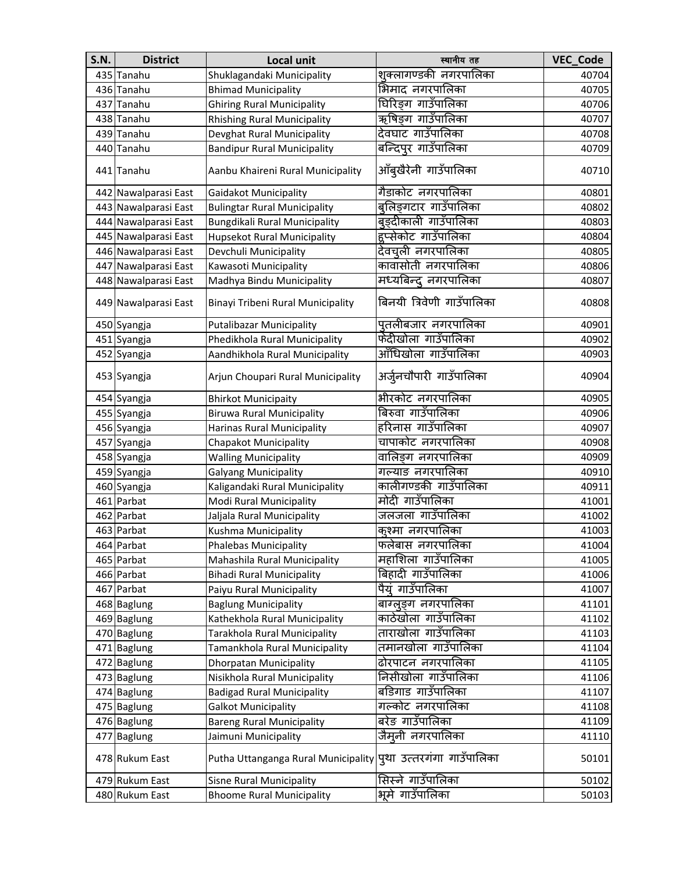| <b>S.N.</b> | <b>District</b>      | Local unit                                                    | स्थानीय तह                | <b>VEC_Code</b> |
|-------------|----------------------|---------------------------------------------------------------|---------------------------|-----------------|
|             | 435 Tanahu           | Shuklagandaki Municipality                                    | शुक्लागण्डकी नगरपालिका    | 40704           |
|             | 436 Tanahu           | <b>Bhimad Municipality</b>                                    | भिमाद नगरपालिका           | 40705           |
| 437         | Tanahu               | <b>Ghiring Rural Municipality</b>                             | घिरिङग गाउँपालिका         | 40706           |
|             | 438 Tanahu           | <b>Rhishing Rural Municipality</b>                            | ऋषिङ्ग गाउँपालिका         | 40707           |
|             | 439 Tanahu           | Devghat Rural Municipality                                    | देवघाट गाउँपालिका         | 40708           |
|             | 440 Tanahu           | <b>Bandipur Rural Municipality</b>                            | बन्दिपुर गाउँपालिका       | 40709           |
|             | 441 Tanahu           | Aanbu Khaireni Rural Municipality                             | आँबुखैरेनी गाउँपालिका     | 40710           |
|             | 442 Nawalparasi East | <b>Gaidakot Municipality</b>                                  | गैडाकोट नगरपालिका         | 40801           |
|             | 443 Nawalparasi East | <b>Bulingtar Rural Municipality</b>                           | बुलिङ्गटार गाउँपालिका     | 40802           |
|             | 444 Nawalparasi East | Bungdikali Rural Municipality                                 | बुङ्दीकाली गाउँपालिका     | 40803           |
|             | 445 Nawalparasi East | Hupsekot Rural Municipality                                   | हुप्सेकोट गाउँपालिका      | 40804           |
|             | 446 Nawalparasi East | Devchuli Municipality                                         | देवचूली नगरपालिका         | 40805           |
|             | 447 Nawalparasi East | Kawasoti Municipality                                         | कावासोती नगरपालिका        | 40806           |
|             | 448 Nawalparasi East | Madhya Bindu Municipality                                     | मध्यबिन्द् नगरपालिका      | 40807           |
|             | 449 Nawalparasi East | Binayi Tribeni Rural Municipality                             | बिनयी त्रिवेणी गाउँपालिका | 40808           |
|             | 450 Syangja          | <b>Putalibazar Municipality</b>                               | पुतलीबजार नगरपालिका       | 40901           |
|             | 451 Syangja          | Phedikhola Rural Municipality                                 | फेदीखोला गाउँपालिका       | 40902           |
|             | 452 Syangja          | Aandhikhola Rural Municipality                                | आँधिखोला गाउँपालिका       | 40903           |
|             | 453 Syangja          | Arjun Choupari Rural Municipality                             | अर्जुनचौपारी गाउँपालिका   | 40904           |
|             | 454 Syangja          | <b>Bhirkot Municipaity</b>                                    | भीरकोट नगरपालिका          | 40905           |
|             | 455 Syangja          | <b>Biruwa Rural Municipality</b>                              | बिरुवा गाउँपालिका         | 40906           |
|             | 456 Syangja          | Harinas Rural Municipality                                    | हरिनास गाउँपालिका         | 40907           |
|             | 457 Syangja          | Chapakot Municipality                                         | चापाकोट नगरपालिका         | 40908           |
|             | 458 Syangja          | <b>Walling Municipality</b>                                   | वालिङग नगरपालिका          | 40909           |
|             | 459 Syangja          | <b>Galyang Municipality</b>                                   | गल्याङ नगरपालिका          | 40910           |
|             | 460 Syangja          | Kaligandaki Rural Municipality                                | कालीगण्डकी गाउँपालिका     | 40911           |
|             | 461 Parbat           | Modi Rural Municipality                                       | मोदी गाउँपालिका           | 41001           |
|             | 462 Parbat           | Jaljala Rural Municipality                                    | जलजला गाउँपालिका          | 41002           |
|             | 463 Parbat           | Kushma Municipality                                           | कुश्मा नगरपालिका          | 41003           |
|             | 464 Parbat           | <b>Phalebas Municipality</b>                                  | फलेबास नगरपालिका          | 41004           |
|             | 465 Parbat           | Mahashila Rural Municipality                                  | महाशिला गाउँपालिका        | 41005           |
|             | 466 Parbat           | <b>Bihadi Rural Municipality</b>                              | बिहादी गाउँपालिका         | 41006           |
|             | 467 Parbat           | Paiyu Rural Municipality                                      | पैयूं गाउँपालिका          | 41007           |
|             | 468 Baglung          | <b>Baglung Municipality</b>                                   | बाग्लुङ्ग नगरपालिका       | 41101           |
|             | 469 Baglung          | Kathekhola Rural Municipality                                 | काठेखोला गाउँपालिका       | 41102           |
|             | 470 Baglung          | Tarakhola Rural Municipality                                  | ताराखोला गाउँपालिका       | 41103           |
|             | 471 Baglung          | Tamankhola Rural Municipality                                 | तमानखोला गाउँपालिका       | 41104           |
|             | 472 Baglung          | <b>Dhorpatan Municipality</b>                                 | ढोरपाटन नगरपालिका         | 41105           |
|             | 473 Baglung          | Nisikhola Rural Municipality                                  | निसीखोला गाउँपालिका       | 41106           |
|             | 474 Baglung          | <b>Badigad Rural Municipality</b>                             | बडिगाड गाउँपालिका         | 41107           |
|             | 475 Baglung          | <b>Galkot Municipality</b>                                    | गल्कोट नगरपालिका          | 41108           |
|             | 476 Baglung          | <b>Bareng Rural Municipality</b>                              | बरेङ गाउँपालिका           | 41109           |
|             | 477 Baglung          | Jaimuni Municipality                                          | जैमूनी नगरपालिका          | 41110           |
|             | 478 Rukum East       | Putha Uttanganga Rural Municipality पृथा उत्तरगंगा गाउँपालिका |                           | 50101           |
|             | 479 Rukum East       | Sisne Rural Municipality                                      | सिस्ने गाउँपालिका         | 50102           |
|             | 480 Rukum East       | <b>Bhoome Rural Municipality</b>                              | भूमे गाउँपालिका           | 50103           |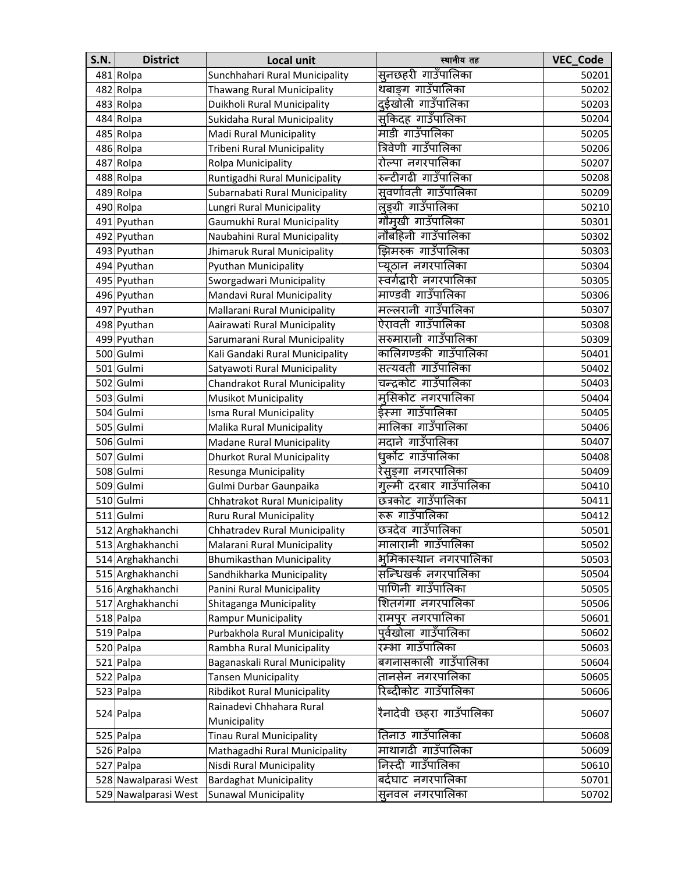| <b>S.N.</b> | <b>District</b>      | Local unit                        | स्थानीय तह               | <b>VEC Code</b> |
|-------------|----------------------|-----------------------------------|--------------------------|-----------------|
|             | 481 Rolpa            | Sunchhahari Rural Municipality    | सुनछहरी गाउँपालिका       | 50201           |
|             | 482 Rolpa            | Thawang Rural Municipality        | थबाङग गाउँपालिका         | 50202           |
|             | 483 Rolpa            | Duikholi Rural Municipality       | दईखोली गाउँपालिका        | 50203           |
|             | 484 Rolpa            | Sukidaha Rural Municipality       | सुकिदह गाउँपालिका        | 50204           |
|             | 485 Rolpa            | Madi Rural Municipality           | माडी गाउँपालिका          | 50205           |
|             | 486 Rolpa            | Tribeni Rural Municipality        | त्रिवेणी गाउँपालिका      | 50206           |
|             | 487 Rolpa            | Rolpa Municipality                | रोल्पा नगरपालिका         | 50207           |
|             | 488 Rolpa            | Runtigadhi Rural Municipality     | रुन्टीगढी गाउँपालिका     | 50208           |
|             | 489 Rolpa            | Subarnabati Rural Municipality    | सूवर्णावती गाउँपालिका    | 50209           |
|             | 490 Rolpa            | Lungri Rural Municipality         | लुङ्ग्री गाउँपालिका      | 50210           |
|             | 491 Pyuthan          | Gaumukhi Rural Municipality       | गौमूखी गाउँपालिका        | 50301           |
|             | 492 Pyuthan          | Naubahini Rural Municipality      | नौबहिनी गाउँपालिका       | 50302           |
|             | 493 Pyuthan          | Jhimaruk Rural Municipality       | झिमरुक गाउँपालिका        | 50303           |
|             | 494 Pyuthan          | Pyuthan Municipality              | प्यूठान नगरपालिका        | 50304           |
|             | 495 Pyuthan          | Sworgadwari Municipality          | स्वर्गद्धारी नगरपालिका   | 50305           |
|             | 496 Pyuthan          | Mandavi Rural Municipality        | माण्डवी गाउँपालिका       | 50306           |
|             | 497 Pyuthan          | Mallarani Rural Municipality      | मल्लरानी गाउँपालिका      | 50307           |
|             | 498 Pyuthan          | Aairawati Rural Municipality      | ऐरावती गाउँपालिका        | 50308           |
|             | 499 Pyuthan          | Sarumarani Rural Municipality     | सरुमारानी गाउँपालिका     | 50309           |
|             | 500 Gulmi            | Kali Gandaki Rural Municipality   | कालिगण्डकी गाउँपालिका    | 50401           |
|             | 501 Gulmi            | Satyawoti Rural Municipality      | सत्यवती गाउँपालिका       | 50402           |
|             | 502 Gulmi            | Chandrakot Rural Municipality     | चन्द्रकोट गाउँपालिका     | 50403           |
|             | 503 Gulmi            | <b>Musikot Municipality</b>       | मसिकोट नगरपालिका         | 50404           |
|             | 504 Gulmi            | Isma Rural Municipality           | ईस्मा गाउँपालिका         | 50405           |
|             | 505 Gulmi            | Malika Rural Municipality         | मालिका गाउँपालिका        | 50406           |
|             | 506 Gulmi            | Madane Rural Municipality         | मदाने गाउँपालिका         | 50407           |
|             | 507 Gulmi            | <b>Dhurkot Rural Municipality</b> | धुर्कोट गाउँपालिका       | 50408           |
|             | 508 Gulmi            | Resunga Municipality              | रेसुङ्गा नगरपालिका       | 50409           |
|             | 509 Gulmi            | Gulmi Durbar Gaunpaika            | गुल्मी दरबार गाउँपालिका  | 50410           |
|             | 510 Gulmi            | Chhatrakot Rural Municipality     | छत्रकोट गाउँपालिका       | 50411           |
|             | 511 Gulmi            | <b>Ruru Rural Municipality</b>    | रूरू गाउँपालिका          | 50412           |
|             | 512 Arghakhanchi     | Chhatradev Rural Municipality     | छत्रदेव गाउँपालिका       | 50501           |
|             | 513 Arghakhanchi     | Malarani Rural Municipality       | मालारानी गाउँपालिका      | 50502           |
|             | 514 Arghakhanchi     | <b>Bhumikasthan Municipality</b>  | भूमिकास्थान नगरपालिका    | 50503           |
|             | 515 Arghakhanchi     | Sandhikharka Municipality         | सन्धिखर्क नगरपालिका      | 50504           |
|             | 516 Arghakhanchi     | Panini Rural Municipality         | पाणिनी गाउँपालिका        | 50505           |
|             | 517 Arghakhanchi     | Shitaganga Municipality           | शितगंगा नगरपालिका        | 50506           |
|             | 518 Palpa            | <b>Rampur Municipality</b>        | रामपुर नगरपालिका         | 50601           |
|             | 519 Palpa            | Purbakhola Rural Municipality     | पूर्वखोला गाउँपालिका     | 50602           |
|             | 520 Palpa            | Rambha Rural Municipality         | रम्भा गाउँपालिका         | 50603           |
|             | 521 Palpa            | Baganaskali Rural Municipality    | बगनासकाली गाउँपालिका     | 50604           |
|             | 522 Palpa            | <b>Tansen Municipality</b>        | तानसेन नगरपालिका         | 50605           |
|             | 523 Palpa            | Ribdikot Rural Municipality       | रिब्दीकोट गाउँपालिका     | 50606           |
|             | 524 Palpa            | Rainadevi Chhahara Rural          | रैनादेवी छहरा गाउँपालिका | 50607           |
|             |                      | Municipality                      |                          |                 |
|             | 525 Palpa            | <b>Tinau Rural Municipality</b>   | तिनाउ गाउँपालिका         | 50608           |
|             | 526 Palpa            | Mathagadhi Rural Municipality     | माथागढी गाउँपालिका       | 50609           |
|             | 527 Palpa            | Nisdi Rural Municipality          | निस्दी गाउँपालिका        | 50610           |
|             | 528 Nawalparasi West | <b>Bardaghat Municipality</b>     | बर्दघाट नगरपालिका        | 50701           |
|             | 529 Nawalparasi West | <b>Sunawal Municipality</b>       | सुनवल नगरपालिका          | 50702           |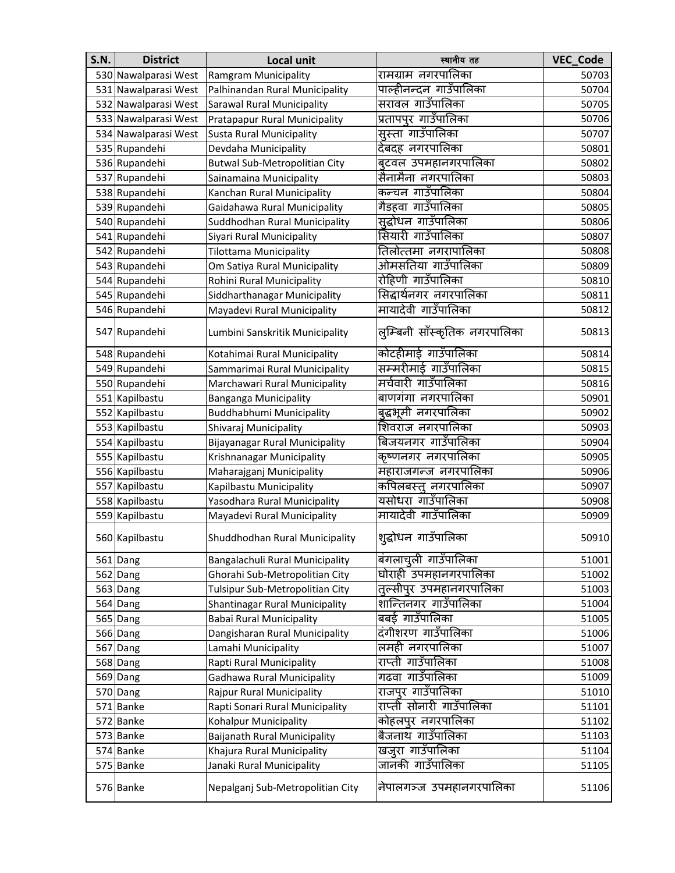| <b>S.N.</b> | <b>District</b>      | <b>Local unit</b>                     | स्थानीय तह                    | VEC_Code |
|-------------|----------------------|---------------------------------------|-------------------------------|----------|
|             | 530 Nawalparasi West | Ramgram Municipality                  | रामग्राम नगरपालिका            | 50703    |
|             | 531 Nawalparasi West | Palhinandan Rural Municipality        | पाल्हीनन्दन गाउँपालिका        | 50704    |
|             | 532 Nawalparasi West | Sarawal Rural Municipality            | सरावल गाउँपालिका              | 50705    |
|             | 533 Nawalparasi West | Pratapapur Rural Municipality         | प्रतापपुर गाउँपालिका          | 50706    |
|             | 534 Nawalparasi West | <b>Susta Rural Municipality</b>       | सुस्ता गाउँपालिका             | 50707    |
|             | 535 Rupandehi        | Devdaha Municipality                  | देबदह नगरपालिका               | 50801    |
|             | 536 Rupandehi        | <b>Butwal Sub-Metropolitian City</b>  | बुटवल उपमहानगरपालिका          | 50802    |
|             | 537 Rupandehi        | Sainamaina Municipality               | सैनामैना नगरपालिका            | 50803    |
|             | 538 Rupandehi        | Kanchan Rural Municipality            | कन्चन गाउँपालिका              | 50804    |
|             | 539 Rupandehi        | Gaidahawa Rural Municipality          | गैडहवा गाउँपालिका             | 50805    |
|             | 540 Rupandehi        | Suddhodhan Rural Municipality         | सुद्धोधन गाउँपालिका           | 50806    |
|             | 541 Rupandehi        | Siyari Rural Municipality             | सियारी गाउँपालिका             | 50807    |
|             | 542 Rupandehi        | <b>Tilottama Municipality</b>         | तिलोत्तमा नगरापालिका          | 50808    |
|             | 543 Rupandehi        | Om Satiya Rural Municipality          | ओमसतिया गाउँपालिका            | 50809    |
|             | 544 Rupandehi        | Rohini Rural Municipality             | रोहिणी गाउँपालिका             | 50810    |
|             | 545 Rupandehi        | Siddharthanagar Municipality          | सिद्धार्थनगर नगरपालिका        | 50811    |
|             | 546 Rupandehi        | Mayadevi Rural Municipality           | मायादेवी गाउँपालिका           | 50812    |
|             | 547 Rupandehi        | Lumbini Sanskritik Municipality       | लुम्बिनी साँस्कृतिक नगरपालिका | 50813    |
|             | 548 Rupandehi        | Kotahimai Rural Municipality          | कोटहीमाई गाउँपालिका           | 50814    |
|             | 549 Rupandehi        | Sammarimai Rural Municipality         | सम्मरीमाई गाउँपालिका          | 50815    |
|             | 550 Rupandehi        | Marchawari Rural Municipality         | मर्चवारी गाउँपालिका           | 50816    |
|             | 551 Kapilbastu       | <b>Banganga Municipality</b>          | बाणगंगा नगरपालिका             | 50901    |
|             | 552 Kapilbastu       | Buddhabhumi Municipality              | बुद्धभूमी नगरपालिका           | 50902    |
|             | 553 Kapilbastu       | Shivaraj Municipality                 | शिवराज नगरपालिका              | 50903    |
|             | 554 Kapilbastu       | <b>Bijayanagar Rural Municipality</b> | बिजयनगर गाउँपालिका            | 50904    |
|             | 555 Kapilbastu       | Krishnanagar Municipality             | कृष्णनगर नगरपालिका            | 50905    |
|             | 556 Kapilbastu       | Maharajganj Municipality              | महाराजगन्ज नगरपालिका          | 50906    |
|             | 557 Kapilbastu       | Kapilbastu Municipality               | कपिलबस्तु नगरपालिका           | 50907    |
|             | 558 Kapilbastu       | Yasodhara Rural Municipality          | यसोधरा गाउँपालिका             | 50908    |
|             | 559 Kapilbastu       | Mayadevi Rural Municipality           | मायादेवी गाउँपालिका           | 50909    |
|             | 560 Kapilbastu       | Shuddhodhan Rural Municipality        | शुद्धोधन गाउँपालिका           | 50910    |
|             | 561 Dang             | Bangalachuli Rural Municipality       | बंगलाचली गाउँपालिका           | 51001    |
|             | 562 Dang             | Ghorahi Sub-Metropolitian City        | घोराही उपमहानगरपालिका         | 51002    |
|             | 563 Dang             | Tulsipur Sub-Metropolitian City       | तुल्सीपुर उपमहानगरपालिका      | 51003    |
|             | 564 Dang             | Shantinagar Rural Municipality        | शान्तिनगर गाउँपालिका          | 51004    |
|             | 565 Dang             | <b>Babai Rural Municipality</b>       | बबई गाउँपालिका                | 51005    |
|             | 566 Dang             | Dangisharan Rural Municipality        | दंगीशरण गाउँपालिका            | 51006    |
|             | 567 Dang             | Lamahi Municipality                   | लमही नगरपालिका                | 51007    |
|             | 568 Dang             | Rapti Rural Municipality              | राप्ती गाउँपालिका             | 51008    |
|             | 569 Dang             | Gadhawa Rural Municipality            | गढवा गाउँपालिका               | 51009    |
|             | 570 Dang             | Rajpur Rural Municipality             | राजपुर गाउँपालिका             | 51010    |
|             | 571 Banke            | Rapti Sonari Rural Municipality       | राप्ती सोनारी गाउँपालिका      | 51101    |
|             | 572 Banke            | Kohalpur Municipality                 | कोहलपुर नगरपालिका             | 51102    |
|             | 573 Banke            | <b>Baijanath Rural Municipality</b>   | बैजनाथ गाउँपालिका             | 51103    |
|             | 574 Banke            | Khajura Rural Municipality            | खजुरा गाउँपालिका              | 51104    |
|             | 575 Banke            | Janaki Rural Municipality             | जानकी गाउँपालिका              | 51105    |
|             | 576 Banke            | Nepalganj Sub-Metropolitian City      | नेपालगञ्ज उपमहानगरपालिका      | 51106    |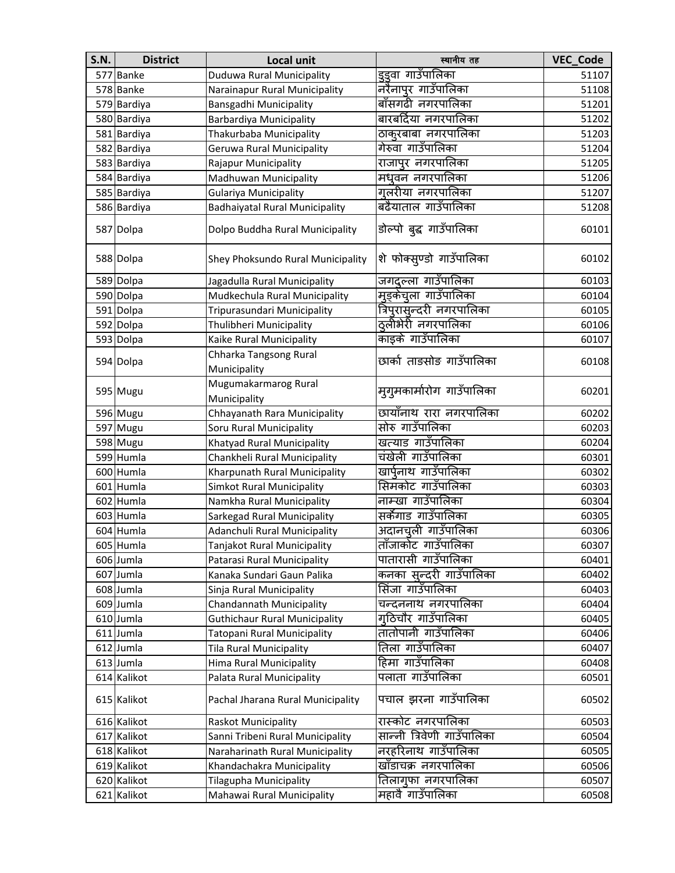| <b>S.N.</b> | <b>District</b> | Local unit                             | स्थानीय तह                 | VEC_Code |
|-------------|-----------------|----------------------------------------|----------------------------|----------|
|             | 577 Banke       | Duduwa Rural Municipality              | इइवा गाउँपालिका            | 51107    |
|             | 578 Banke       | Narainapur Rural Municipality          | नरैनापुर गाउँपालिका        | 51108    |
|             | 579 Bardiya     | Bansgadhi Municipality                 | बाँसगढी नगरपालिका          | 51201    |
|             | 580 Bardiya     | Barbardiya Municipality                | बारबर्दिया नगरपालिका       | 51202    |
|             | 581 Bardiya     | Thakurbaba Municipality                | ठाकुरबाबा नगरपालिका        | 51203    |
|             | 582 Bardiya     | Geruwa Rural Municipality              | गेरुवा गाउँपालिका          | 51204    |
|             | 583 Bardiya     | <b>Rajapur Municipality</b>            | राजापुर नगरपालिका          | 51205    |
|             | 584 Bardiya     | Madhuwan Municipality                  | मधुवन नगरपालिका            | 51206    |
|             | 585 Bardiya     | <b>Gulariya Municipality</b>           | गुलरीया नगरपालिका          | 51207    |
|             | 586 Bardiya     | <b>Badhaiyatal Rural Municipality</b>  | बढैयाताल गाउँपालिका        | 51208    |
|             | 587 Dolpa       | Dolpo Buddha Rural Municipality        | डोल्पो बुद्ध गाउँपालिका    | 60101    |
|             | 588 Dolpa       | Shey Phoksundo Rural Municipality      | शे फोक्सुण्डो गाउँपालिका   | 60102    |
|             | 589 Dolpa       | Jagadulla Rural Municipality           | जगद्दल्ला गाउँपालिका       | 60103    |
|             | 590 Dolpa       | Mudkechula Rural Municipality          | मूड़केचूला गाउँपालिका      | 60104    |
|             | 591 Dolpa       | Tripurasundari Municipality            | त्रिपुरासुन्दरी नगरपालिका  | 60105    |
|             | 592 Dolpa       | Thulibheri Municipality                | ठ्लीभेरी नगरपालिका         | 60106    |
|             | 593 Dolpa       | Kaike Rural Municipality               | काइके गाउँपालिका           | 60107    |
|             | 594 Dolpa       | Chharka Tangsong Rural<br>Municipality | छार्का ताङसोङ गाउँपालिका   | 60108    |
|             | 595 Mugu        | Mugumakarmarog Rural<br>Municipality   | मुगुमकार्मारोग गाउँपालिका  | 60201    |
|             | 596 Mugu        | Chhayanath Rara Municipality           | छायाँनाथ रारा नगरपालिका    | 60202    |
|             | 597 Mugu        | Soru Rural Municipality                | सोरु गाउँपालिका            | 60203    |
|             | 598 Mugu        | Khatyad Rural Municipality             | खत्याड गाउँपालिका          | 60204    |
|             | 599 Humla       | Chankheli Rural Municipality           | चंखेली गाउँपालिका          | 60301    |
|             | 600 Humla       | Kharpunath Rural Municipality          | खार्पुनाथ गाउँपालिका       | 60302    |
|             | 601 Humla       | <b>Simkot Rural Municipality</b>       | सिमकोट गाउँपालिका          | 60303    |
|             | 602 Humla       | Namkha Rural Municipality              | नाम्खा गाउँपालिका          | 60304    |
|             | 603 Humla       | Sarkegad Rural Municipality            | सर्कगाड गाउँपालिका         | 60305    |
|             | 604 Humla       | Adanchuli Rural Municipality           | अदानचुली गाउँपालिका        | 60306    |
|             | 605 Humla       | Tanjakot Rural Municipality            | ताँजाकोट गाउँपालिका        | 60307    |
|             | 606 Jumla       | Patarasi Rural Municipality            | पातारासी गाउँपालिका        | 60401    |
|             | 607 Jumla       | Kanaka Sundari Gaun Palika             | कनका सुन्दरी गाउँपालिका    | 60402    |
|             | 608 Jumla       | Sinja Rural Municipality               | सिंजा गाउँपालिका           | 60403    |
|             | 609 Jumla       | Chandannath Municipality               | चन्दननाथ नगरपालिका         | 60404    |
|             | 610 Jumla       | <b>Guthichaur Rural Municipality</b>   | गठिचौर गाउँपालिका          | 60405    |
|             | 611 Jumla       | Tatopani Rural Municipality            | तातोपानी गाउँपालिका        | 60406    |
|             | 612 Jumla       | <b>Tila Rural Municipality</b>         | तिला गाउँपालिका            | 60407    |
|             | 613 Jumla       | <b>Hima Rural Municipality</b>         | हिमा गाउँपालिका            | 60408    |
|             | 614 Kalikot     | Palata Rural Municipality              | पलाता गाउँपालिका           | 60501    |
|             | 615 Kalikot     | Pachal Jharana Rural Municipality      | पचाल झरना गाउँपालिका       | 60502    |
|             | 616 Kalikot     | Raskot Municipality                    | रास्कोट नगरपालिका          | 60503    |
|             | 617 Kalikot     | Sanni Tribeni Rural Municipality       | सान्नी त्रिवेणी गाउँपालिका | 60504    |
|             | 618 Kalikot     | Naraharinath Rural Municipality        | नरहरिनाथ गाउँपालिका        | 60505    |
|             | 619 Kalikot     | Khandachakra Municipality              | खाँडाचक्र नगरपालिका        | 60506    |
|             | 620 Kalikot     | Tilagupha Municipality                 | तिलागुफा नगरपालिका         | 60507    |
|             | 621 Kalikot     | Mahawai Rural Municipality             | महावै गाउँपालिका           | 60508    |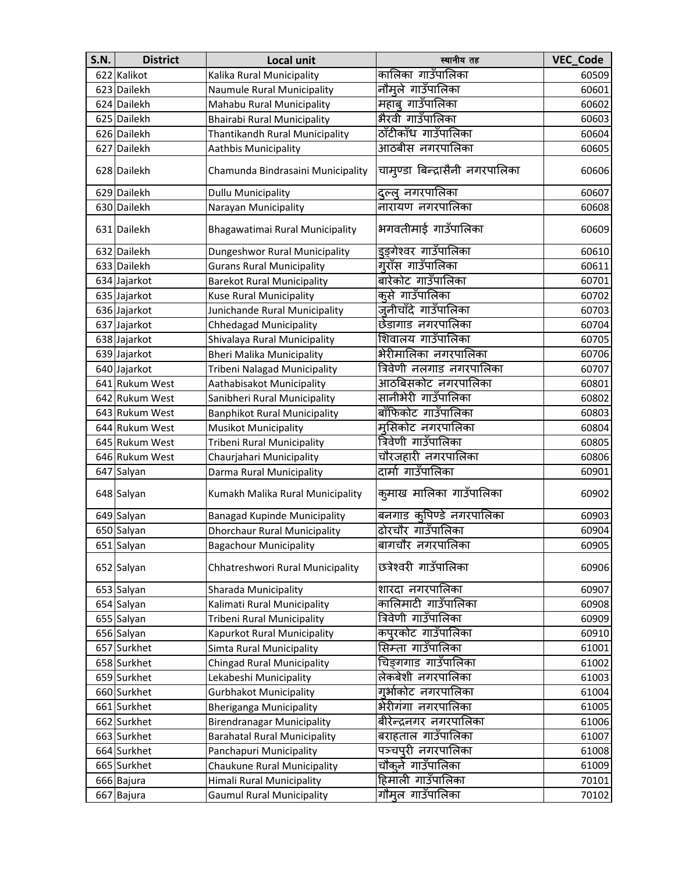| <b>S.N.</b> | <b>District</b> | Local unit                          | स्थानीय तह                      | VEC_Code |
|-------------|-----------------|-------------------------------------|---------------------------------|----------|
|             | 622 Kalikot     | Kalika Rural Municipality           | कालिका गाउँपालिका               | 60509    |
|             | 623 Dailekh     | <b>Naumule Rural Municipality</b>   | नौमूले गाउँपालिका               | 60601    |
|             | 624 Dailekh     | Mahabu Rural Municipality           | महाब् गाउँपालिका                | 60602    |
|             | 625 Dailekh     | <b>Bhairabi Rural Municipality</b>  | भैरवी गाउँपालिका                | 60603    |
|             | 626 Dailekh     | Thantikandh Rural Municipality      | ठाँटीकाँध गाउँपालिका            | 60604    |
|             | 627 Dailekh     | Aathbis Municipality                | आठबीस नगरपालिका                 | 60605    |
|             | 628 Dailekh     | Chamunda Bindrasaini Municipality   | चामुण्डा बिन्द्रासैनी नगरपालिका | 60606    |
|             | 629 Dailekh     | <b>Dullu Municipality</b>           | दल्लु नगरपालिका                 | 60607    |
|             | 630 Dailekh     | Narayan Municipality                | नारायण नगरपालिका                | 60608    |
|             | 631 Dailekh     | Bhagawatimai Rural Municipality     | भगवतीमाई गाउँपालिका             | 60609    |
|             | 632 Dailekh     | Dungeshwor Rural Municipality       | इङ़गेश्वर गाउँपालिका            | 60610    |
|             | 633 Dailekh     | <b>Gurans Rural Municipality</b>    | गुराँस गाउँपालिका               | 60611    |
|             | 634 Jajarkot    | <b>Barekot Rural Municipality</b>   | बारेकोट गाउँपालिका              | 60701    |
|             | 635 Jajarkot    | <b>Kuse Rural Municipality</b>      | क् <b>से गाउँपालि</b> का        | 60702    |
|             | 636 Jajarkot    | Junichande Rural Municipality       | जूनीचाँदे गाउँपालिका            | 60703    |
|             | 637 Jajarkot    | <b>Chhedagad Municipality</b>       | छेडागाड नगरपालिका               | 60704    |
|             | 638 Jajarkot    | Shivalaya Rural Municipality        | शिवालय गाउँपालिका               | 60705    |
|             | 639 Jajarkot    | <b>Bheri Malika Municipality</b>    | भेरीमालिका नगरपालिका            | 60706    |
|             | 640 Jajarkot    | Tribeni Nalagad Municipality        | त्रिवेणी नलगाड नगरपालिका        | 60707    |
|             | 641 Rukum West  | Aathabisakot Municipality           | आठबिसकोट नगरपालिका              | 60801    |
|             | 642 Rukum West  | Sanibheri Rural Municipality        | सानीभेरी गाउँपालिका             | 60802    |
|             | 643 Rukum West  | <b>Banphikot Rural Municipality</b> | बाँफिकोट गाउँपालिका             | 60803    |
|             | 644 Rukum West  | <b>Musikot Municipality</b>         | मुसिकोट नगरपालिका               | 60804    |
|             | 645 Rukum West  | Tribeni Rural Municipality          | त्रिवेणी गाउँपालिका             | 60805    |
|             | 646 Rukum West  | Chaurjahari Municipality            | चौरजहारी नगरपालिका              | 60806    |
|             | 647 Salyan      | Darma Rural Municipality            | दार्मा गाउँपालिका               | 60901    |
|             | 648 Salyan      | Kumakh Malika Rural Municipality    | कुमाख मालिका गाउँपालिका         | 60902    |
|             | 649 Salyan      | Banagad Kupinde Municipality        | बनगाड क्पिण्डे नगरपालिका        | 60903    |
|             | 650 Salyan      | <b>Dhorchaur Rural Municipality</b> | ढोरचौर गाउँपालिका               | 60904    |
|             | 651 Salyan      | <b>Bagachour Municipality</b>       | बागचौर नगरपालिका                | 60905    |
|             | 652 Salyan      | Chhatreshwori Rural Municipality    | छत्रेश्वरी गाउँपालिका           | 60906    |
|             | 653 Salyan      | Sharada Municipality                | शारदा नगरपालिका                 | 60907    |
|             | 654 Salyan      | Kalimati Rural Municipality         | कालिमाटी गाउँपालिका             | 60908    |
|             | 655 Salyan      | Tribeni Rural Municipality          | त्रिवेणी गाउँपालिका             | 60909    |
|             | 656 Salyan      | Kapurkot Rural Municipality         | कपुरकोट गाउँपालिका              | 60910    |
|             | 657 Surkhet     | Simta Rural Municipality            | सिम्ता गाउँपालिका               | 61001    |
|             | 658 Surkhet     | <b>Chingad Rural Municipality</b>   | चिङगगाड गाउँपालिका              | 61002    |
|             | 659 Surkhet     | Lekabeshi Municipality              | लेकबेशी नगरपालिका               | 61003    |
|             | 660 Surkhet     | <b>Gurbhakot Municipality</b>       | गुर्भाकोट नगरपालिका             | 61004    |
|             | 661 Surkhet     | <b>Bheriganga Municipality</b>      | भेरीगंगा नगरपालिका              | 61005    |
|             | 662 Surkhet     | <b>Birendranagar Municipality</b>   | बीरेन्द्रनगर नगरपालिका          | 61006    |
|             | 663 Surkhet     | <b>Barahatal Rural Municipality</b> | बराहताल गाउँपालिका              | 61007    |
|             | 664 Surkhet     | Panchapuri Municipality             | पञ्चपुरी नगरपालिका              | 61008    |
|             | 665 Surkhet     | Chaukune Rural Municipality         | चौकुने गाउँपालिका               | 61009    |
|             | 666 Bajura      | Himali Rural Municipality           | हिमाली गाउँपालिका               | 70101    |
|             | 667 Bajura      | <b>Gaumul Rural Municipality</b>    | गौमूल गाउँपालिका                | 70102    |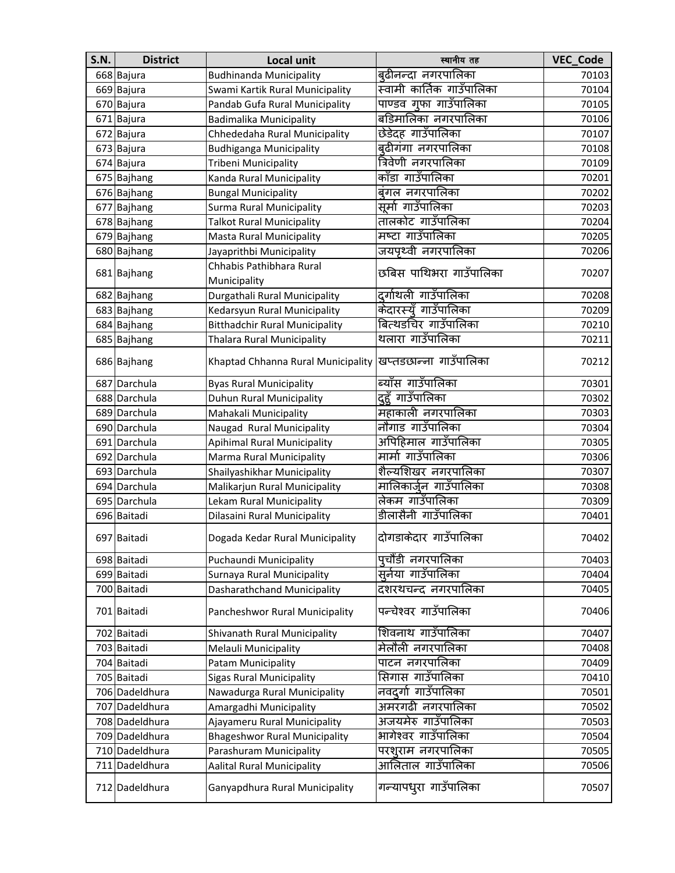| <b>S.N.</b> | <b>District</b> | <b>Local unit</b>                     | स्थानीय तह                | VEC_Code |
|-------------|-----------------|---------------------------------------|---------------------------|----------|
|             | 668 Bajura      | <b>Budhinanda Municipality</b>        | बुढीनन्दा नगरपालिका       | 70103    |
|             | 669 Bajura      | Swami Kartik Rural Municipality       | स्वामी कार्तिक गाउँपालिका | 70104    |
|             | 670 Bajura      | Pandab Gufa Rural Municipality        | पाण्डव गुफा गाउँपालिका    | 70105    |
|             | 671 Bajura      | Badimalika Municipality               | बडिमालिका नगरपालिका       | 70106    |
|             | 672 Bajura      | Chhededaha Rural Municipality         | छेडेदह गाउँपालिका         | 70107    |
|             | 673 Bajura      | <b>Budhiganga Municipality</b>        | बुढीगंगा नगरपालिका        | 70108    |
|             | 674 Bajura      | Tribeni Municipality                  | त्रिवेणी नगरपालिका        | 70109    |
|             | 675 Bajhang     | Kanda Rural Municipality              | काँडा गाउँपालिका          | 70201    |
|             | 676 Bajhang     | <b>Bungal Municipality</b>            | बंगल नगरपालिका            | 70202    |
|             | 677 Bajhang     | <b>Surma Rural Municipality</b>       | सर्मा गाउँपालिका          | 70203    |
|             | 678 Bajhang     | <b>Talkot Rural Municipality</b>      | तालकोट गाउँपालिका         | 70204    |
|             | 679 Bajhang     | Masta Rural Municipality              | मष्टा गाउँपालिका          | 70205    |
|             | 680 Bajhang     | Jayaprithbi Municipality              | जयपृथ्वी नगरपालिका        | 70206    |
|             | 681 Bajhang     | Chhabis Pathibhara Rural              | छबिस पाथिभरा गाउँपालिका   | 70207    |
|             |                 | Municipality                          |                           |          |
|             | 682 Bajhang     | Durgathali Rural Municipality         | दुर्गाथली गाउँपालिका      | 70208    |
|             | 683 Bajhang     | Kedarsyun Rural Municipality          | केदारस्यँ गाउँपालिका      | 70209    |
|             | 684 Bajhang     | <b>Bitthadchir Rural Municipality</b> | बित्थडचिर गाउँपालिका      | 70210    |
|             | 685 Bajhang     | <b>Thalara Rural Municipality</b>     | थलारा गाउँपालिका          | 70211    |
|             | 686 Bajhang     | Khaptad Chhanna Rural Municipality    | खप्तडछान्ना गाउँपालिका    | 70212    |
|             | 687 Darchula    | <b>Byas Rural Municipality</b>        | ब्याँस गाउँपालिका         | 70301    |
|             | 688 Darchula    | Duhun Rural Municipality              | द्दूहँ गाउँपालिका         | 70302    |
|             | 689 Darchula    | Mahakali Municipality                 | महाकाली नगरपालिका         | 70303    |
|             | 690 Darchula    | Naugad Rural Municipality             | नौगाड गाउँपालिका          | 70304    |
|             | 691 Darchula    | <b>Apihimal Rural Municipality</b>    | अपिहिमाल गाउँपालिका       | 70305    |
|             | 692 Darchula    | Marma Rural Municipality              | मार्मा गाउँपालिका         | 70306    |
|             | 693 Darchula    | Shailyashikhar Municipality           | शैल्यशिखर नगरपालिका       | 70307    |
|             | 694 Darchula    | Malikarjun Rural Municipality         | मालिकार्जुन गाउँपालिका    | 70308    |
|             | 695 Darchula    | Lekam Rural Municipality              | लेकम गाउँपालिका           | 70309    |
|             | 696 Baitadi     | Dilasaini Rural Municipality          | डीलासैनी गाउँपालिका       | 70401    |
|             | 697 Baitadi     | Dogada Kedar Rural Municipality       | दोगडाकेदार गाउँपालिका     | 70402    |
|             | 698 Baitadi     | Puchaundi Municipality                | पुचौंडी नगरपालिका         | 70403    |
|             | 699 Baitadi     | Surnaya Rural Municipality            | सुर्नया गाउँपालिका        | 70404    |
|             | 700 Baitadi     | Dasharathchand Municipality           | दशरथचन्द नगरपालिका        | 70405    |
|             | 701 Baitadi     | Pancheshwor Rural Municipality        | पन्चेश्वर गाउँपालिका      | 70406    |
|             | 702 Baitadi     | Shivanath Rural Municipality          | शिवनाथ गाउँपालिका         | 70407    |
|             | 703 Baitadi     | Melauli Municipality                  | मेलौली नगरपालिका          | 70408    |
|             | 704 Baitadi     | Patam Municipality                    | पाटन नगरपालिका            | 70409    |
|             | 705 Baitadi     | <b>Sigas Rural Municipality</b>       | सिगास गाउँपालिका          | 70410    |
|             | 706 Dadeldhura  | Nawadurga Rural Municipality          | नवदुर्गा गाउँपालिका       | 70501    |
|             | 707 Dadeldhura  | Amargadhi Municipality                | अमरगढी नगरपालिका          | 70502    |
|             | 708 Dadeldhura  | Ajayameru Rural Municipality          | अजयमेरु गाउँपालिका        | 70503    |
|             | 709 Dadeldhura  | <b>Bhageshwor Rural Municipality</b>  | भागेश्वर गाउँपालिका       | 70504    |
|             | 710 Dadeldhura  | Parashuram Municipality               | परशूराम नगरपालिका         | 70505    |
| 711         | Dadeldhura      | <b>Aalital Rural Municipality</b>     | आलिताल गाउँपालिका         | 70506    |
|             | 712 Dadeldhura  | Ganyapdhura Rural Municipality        | गन्यापधुरा गाउँपालिका     | 70507    |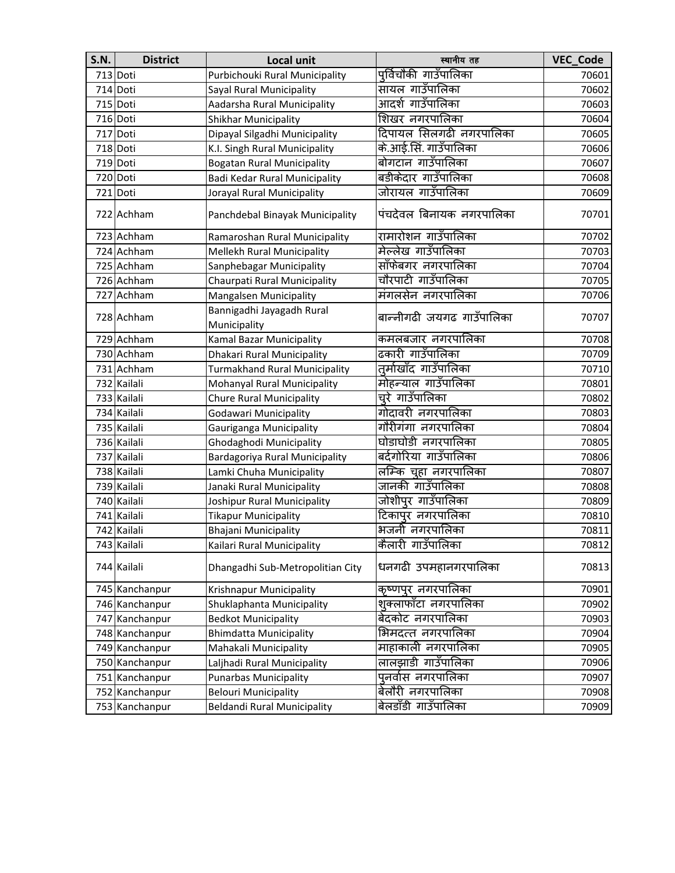| <b>S.N.</b> | <b>District</b> | <b>Local unit</b>                    | स्थानीय तह                | <b>VEC Code</b> |
|-------------|-----------------|--------------------------------------|---------------------------|-----------------|
|             | 713 Doti        | Purbichouki Rural Municipality       | पूर्विचौकी गाउँपालिका     | 70601           |
|             | 714 Doti        | Sayal Rural Municipality             | सायल गाउँपालिका           | 70602           |
|             | 715 Doti        | Aadarsha Rural Municipality          | आदर्श गाउँपालिका          | 70603           |
|             | 716 Doti        | Shikhar Municipality                 | शिखर नगरपालिका            | 70604           |
|             | 717 Doti        | Dipayal Silgadhi Municipality        | दिपायल सिलगढी नगरपालिका   | 70605           |
|             | 718 Doti        | K.I. Singh Rural Municipality        | के.आई.सिं. गाउँपालिका     | 70606           |
|             | 719 Doti        | <b>Bogatan Rural Municipality</b>    | बोगटान गाउँपालिका         | 70607           |
|             | 720 Doti        | Badi Kedar Rural Municipality        | बडीकेदार गाउँपालिका       | 70608           |
|             | 721 Doti        | Jorayal Rural Municipality           | जोरायल गाउँपालिका         | 70609           |
|             | 722 Achham      | Panchdebal Binayak Municipality      | पंचदेवल बिनायक नगरपालिका  | 70701           |
|             | 723 Achham      | Ramaroshan Rural Municipality        | रामारोशन गाउँपालिका       | 70702           |
|             | 724 Achham      | Mellekh Rural Municipality           | मेल्लेख गाउँपालिका        | 70703           |
|             | 725 Achham      | Sanphebagar Municipality             | साँफेबगर नगरपालिका        | 70704           |
|             | 726 Achham      | Chaurpati Rural Municipality         | चौरपाटी गाउँपालिका        | 70705           |
|             | 727 Achham      | Mangalsen Municipality               | मंगलसेन नगरपालिका         | 70706           |
|             |                 | Bannigadhi Jayagadh Rural            | बान्नीगढी जयगढ गाउँपालिका |                 |
|             | 728 Achham      | Municipality                         |                           | 70707           |
|             | 729 Achham      | Kamal Bazar Municipality             | कमलबजार नगरपालिका         | 70708           |
|             | 730 Achham      | Dhakari Rural Municipality           | ढकारी गाउँपालिका          | 70709           |
|             | 731 Achham      | <b>Turmakhand Rural Municipality</b> | तुर्माखाँद गाउँपालिका     | 70710           |
|             | 732 Kailali     | Mohanyal Rural Municipality          | मोहन्याल गाउँपालिका       | 70801           |
|             | 733 Kailali     | Chure Rural Municipality             | च्रे गाउँपालिका           | 70802           |
|             | 734 Kailali     | Godawari Municipality                | गोदावरी नगरपालिका         | 70803           |
|             | 735 Kailali     | Gauriganga Municipality              | गौरीगंगा नगरपालिका        | 70804           |
|             | 736 Kailali     | Ghodaghodi Municipality              | घोडाघोडी नगरपालिका        | 70805           |
|             | 737 Kailali     | Bardagoriya Rural Municipality       | बर्दगोरिया गाउँपालिका     | 70806           |
|             | 738 Kailali     | Lamki Chuha Municipality             | लम्कि चूहा नगरपालिका      | 70807           |
|             | 739 Kailali     | Janaki Rural Municipality            | जानकी गाउँपालिका          | 70808           |
|             | 740 Kailali     | Joshipur Rural Municipality          | जोशीपुर गाउँपालिका        | 70809           |
|             | 741 Kailali     | <b>Tikapur Municipality</b>          | टिकापुर नगरपालिका         | 70810           |
|             | 742 Kailali     | Bhajani Municipality                 | भजनी नगरपालिका            | 70811           |
|             | 743 Kailali     | Kailari Rural Municipality           | कैलारी गाउँपालिका         | 70812           |
|             | 744 Kailali     | Dhangadhi Sub-Metropolitian City     | धनगढी उपमहानगरपालिका      | 70813           |
|             | 745 Kanchanpur  | Krishnapur Municipality              | कृष्णपुर नगरपालिका        | 70901           |
|             | 746 Kanchanpur  | Shuklaphanta Municipality            | शुक्लाफाँटा नगरपालिका     | 70902           |
|             | 747 Kanchanpur  | <b>Bedkot Municipality</b>           | बेदकोट नगरपालिका          | 70903           |
|             | 748 Kanchanpur  | <b>Bhimdatta Municipality</b>        | भिमदत्त नगरपालिका         | 70904           |
|             | 749 Kanchanpur  | Mahakali Municipality                | माहाकाली नगरपालिका        | 70905           |
|             | 750 Kanchanpur  | Laljhadi Rural Municipality          | लालझाडी गाउँपालिका        | 70906           |
|             | 751 Kanchanpur  | <b>Punarbas Municipality</b>         | पुनर्वास नगरपालिका        | 70907           |
|             | 752 Kanchanpur  | <b>Belouri Municipality</b>          | बेलौरी नगरपालिका          | 70908           |
|             | 753 Kanchanpur  | <b>Beldandi Rural Municipality</b>   | बेलडाँडी गाउँपालिका       | 70909           |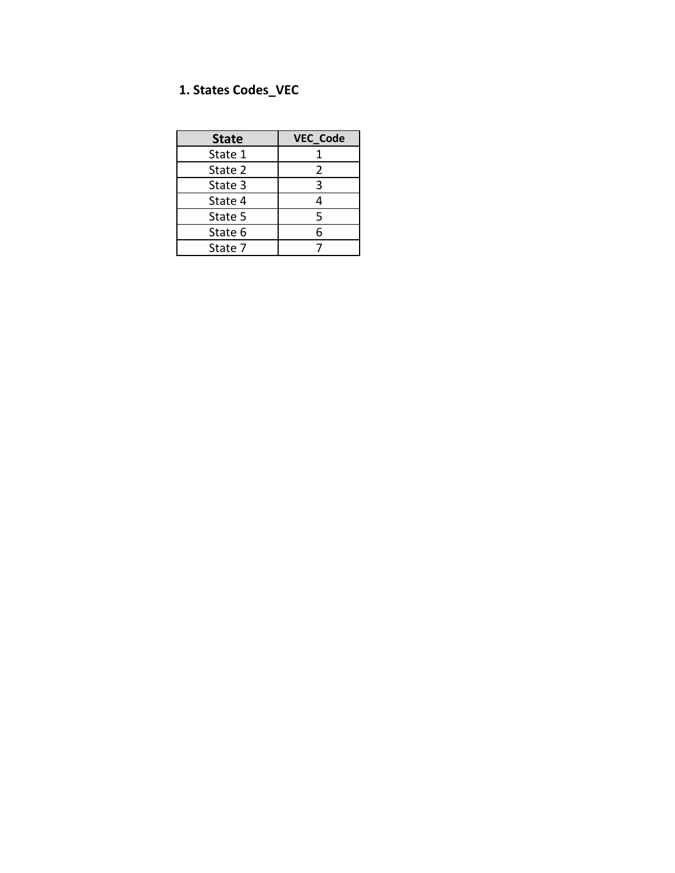## **1. States Codes\_VEC**

| <b>State</b> | <b>VEC_Code</b> |
|--------------|-----------------|
| State 1      |                 |
| State 2      | $\mathcal{P}$   |
| State 3      | 3               |
| State 4      |                 |
| State 5      | 5               |
| State 6      | 6               |
| State 7      |                 |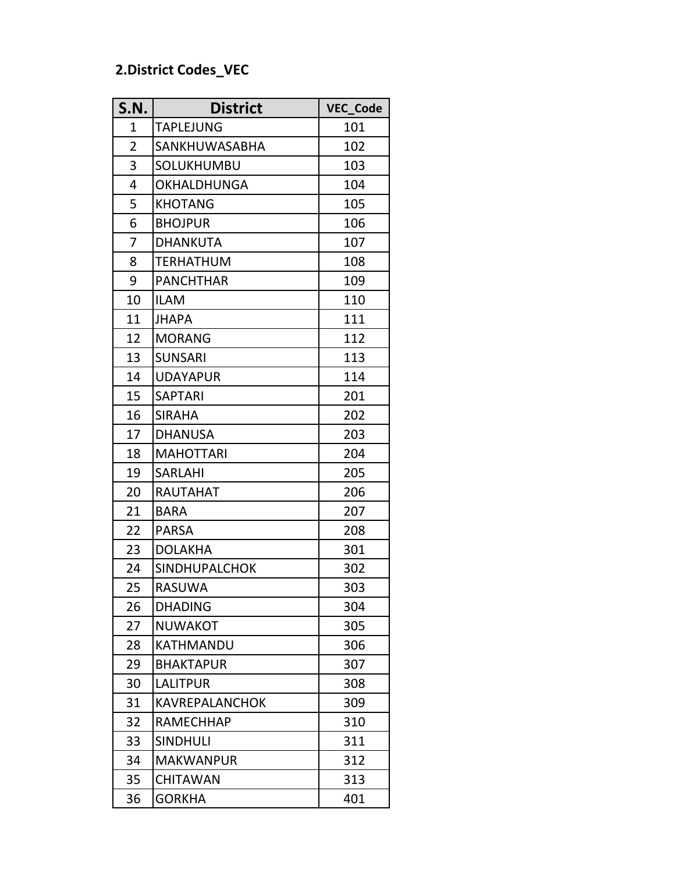## **2.District Codes\_VEC**

| S.N.           | <b>District</b>       | VEC_Code |
|----------------|-----------------------|----------|
| 1              | <b>TAPLEJUNG</b>      | 101      |
| $\overline{2}$ | SANKHUWASABHA         | 102      |
| 3              | SOLUKHUMBU            | 103      |
| 4              | <b>OKHALDHUNGA</b>    | 104      |
| 5              | <b>KHOTANG</b>        | 105      |
| 6              | <b>BHOJPUR</b>        | 106      |
| $\overline{7}$ | <b>DHANKUTA</b>       | 107      |
| 8              | TERHATHUM             | 108      |
| 9              | <b>PANCHTHAR</b>      | 109      |
| 10             | <b>ILAM</b>           | 110      |
| 11             | <b>JHAPA</b>          | 111      |
| 12             | <b>MORANG</b>         | 112      |
| 13             | <b>SUNSARI</b>        | 113      |
| 14             | <b>UDAYAPUR</b>       | 114      |
| 15             | <b>SAPTARI</b>        | 201      |
| 16             | <b>SIRAHA</b>         | 202      |
| 17             | <b>DHANUSA</b>        | 203      |
| 18             | <b>MAHOTTARI</b>      | 204      |
| 19             | <b>SARLAHI</b>        | 205      |
| 20             | <b>RAUTAHAT</b>       | 206      |
| 21             | <b>BARA</b>           | 207      |
| 22             | <b>PARSA</b>          | 208      |
| 23             | <b>DOLAKHA</b>        | 301      |
| 24             | <b>SINDHUPALCHOK</b>  | 302      |
| 25             | RASUWA                | 303      |
| 26             | <b>DHADING</b>        | 304      |
| 27             | <b>NUWAKOT</b>        | 305      |
| 28             | KATHMANDU             | 306      |
| 29             | <b>BHAKTAPUR</b>      | 307      |
| 30             | <b>LALITPUR</b>       | 308      |
| 31             | <b>KAVREPALANCHOK</b> | 309      |
| 32             | <b>RAMECHHAP</b>      | 310      |
| 33             | <b>SINDHULI</b>       | 311      |
| 34             | <b>MAKWANPUR</b>      | 312      |
| 35             | <b>CHITAWAN</b>       | 313      |
| 36             | <b>GORKHA</b>         | 401      |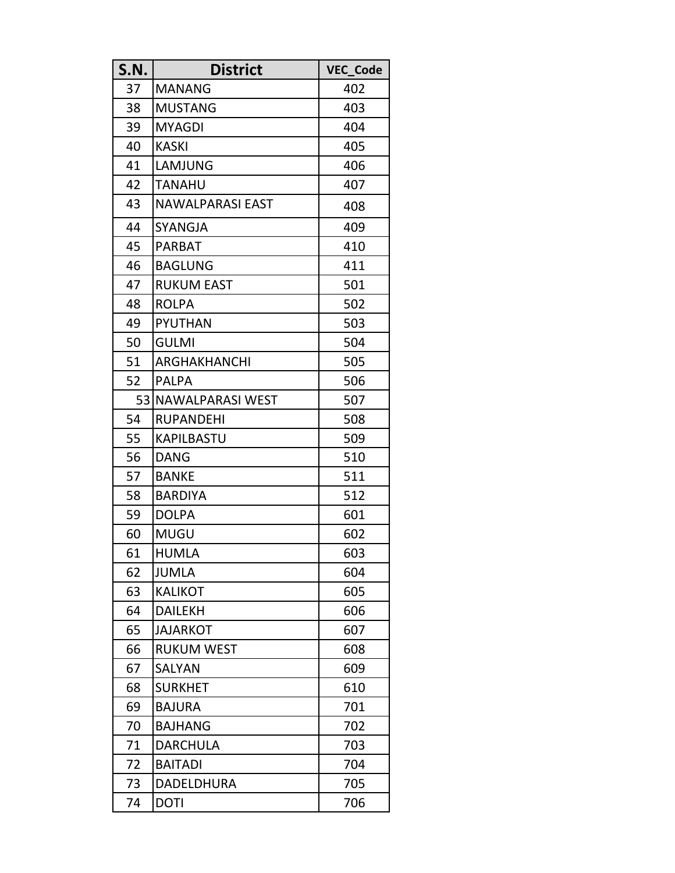| S.N. | <b>District</b>         | VEC_Code |
|------|-------------------------|----------|
| 37   | <b>MANANG</b>           | 402      |
| 38   | <b>MUSTANG</b>          | 403      |
| 39   | <b>MYAGDI</b>           | 404      |
| 40   | <b>KASKI</b>            | 405      |
| 41   | LAMJUNG                 | 406      |
| 42   | TANAHU                  | 407      |
| 43   | NAWALPARASI EAST        | 408      |
| 44   | SYANGJA                 | 409      |
| 45   | <b>PARBAT</b>           | 410      |
| 46   | <b>BAGLUNG</b>          | 411      |
| 47   | <b>RUKUM EAST</b>       | 501      |
| 48   | <b>ROLPA</b>            | 502      |
| 49   | <b>PYUTHAN</b>          | 503      |
| 50   | <b>GULMI</b>            | 504      |
| 51   | ARGHAKHANCHI            | 505      |
| 52   | <b>PALPA</b>            | 506      |
| 53   | <b>NAWALPARASI WEST</b> | 507      |
| 54   | <b>RUPANDEHI</b>        | 508      |
| 55   | KAPILBASTU              | 509      |
| 56   | <b>DANG</b>             | 510      |
| 57   | <b>BANKE</b>            | 511      |
| 58   | <b>BARDIYA</b>          | 512      |
| 59   | <b>DOLPA</b>            | 601      |
| 60   | <b>MUGU</b>             | 602      |
| 61   | <b>HUMLA</b>            | 603      |
| 62   | <b>JUMLA</b>            | 604      |
| 63   | <b>KALIKOT</b>          | 605      |
| 64   | <b>DAILEKH</b>          | 606      |
| 65   | <b>JAJARKOT</b>         | 607      |
| 66   | <b>RUKUM WEST</b>       | 608      |
| 67   | SALYAN                  | 609      |
| 68   | <b>SURKHET</b>          | 610      |
| 69   | <b>BAJURA</b>           | 701      |
| 70   | <b>BAJHANG</b>          | 702      |
| 71   | <b>DARCHULA</b>         | 703      |
| 72   | <b>BAITADI</b>          | 704      |
| 73   | <b>DADELDHURA</b>       | 705      |
| 74   | <b>DOTI</b>             | 706      |